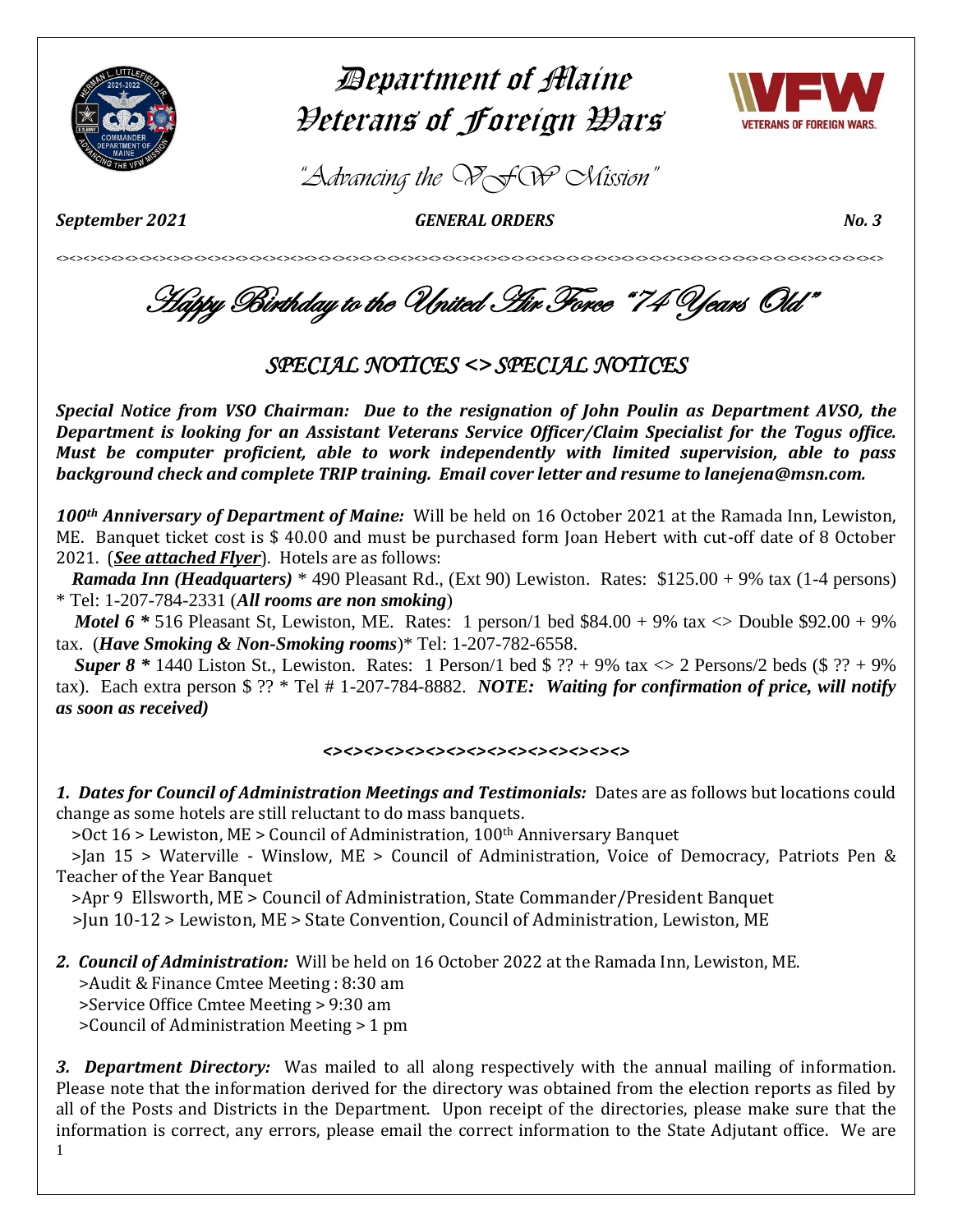

# Department of Maine Veterans of Foreign Wars



*"Advancing the VFW Mission"*

*September 2021 GENERAL ORDERS No. 3* 

<><><><><><><><><><><><><><><><><><><><><><><><><><><><><><><><><><><><><><><><><><><><><><><><><><><><><><><><><><><><>

Happy Birthday to the United Air Force "74 Years Old"

## *SPECIAL NOTICES <> SPECIAL NOTICES*

*Special Notice from VSO Chairman: Due to the resignation of John Poulin as Department AVSO, the Department is looking for an Assistant Veterans Service Officer/Claim Specialist for the Togus office. Must be computer proficient, able to work independently with limited supervision, able to pass background check and complete TRIP training. Email cover letter and resume to lanejena@msn.com.* 

*100th Anniversary of Department of Maine:* Will be held on 16 October 2021 at the Ramada Inn, Lewiston, ME. Banquet ticket cost is \$ 40.00 and must be purchased form Joan Hebert with cut-off date of 8 October 2021. (*See attached Flyer*). Hotels are as follows:

 *Ramada Inn (Headquarters)* \* 490 Pleasant Rd., (Ext 90) Lewiston. Rates: \$125.00 + 9% tax (1-4 persons) \* Tel: 1-207-784-2331 (*All rooms are non smoking*)

*Motel 6*  $*$  516 Pleasant St, Lewiston, ME. Rates: 1 person/1 bed \$84.00 + 9% tax  $\langle$  Double \$92.00 + 9% tax. (*Have Smoking & Non-Smoking rooms*)\* Tel: 1-207-782-6558.

*Super 8* \* 1440 Liston St., Lewiston. Rates: 1 Person/1 bed  $\frac{6}{7}$  ?? + 9% tax  $\frac{6}{7}$  2 Persons/2 beds ( $\frac{6}{7}$  ?? + 9%) tax). Each extra person \$ ?? \* Tel # 1-207-784-8882. *NOTE: Waiting for confirmation of price, will notify as soon as received)* 

### *<><><><><><><><><><><><><><><>*

*1. Dates for Council of Administration Meetings and Testimonials:* Dates are as follows but locations could change as some hotels are still reluctant to do mass banquets.

 $>$  Oct 16  $>$  Lewiston, ME  $>$  Council of Administration, 100<sup>th</sup> Anniversary Banquet

 >Jan 15 > Waterville - Winslow, ME > Council of Administration, Voice of Democracy, Patriots Pen & Teacher of the Year Banquet

>Apr 9 Ellsworth, ME > Council of Administration, State Commander/President Banquet

>Jun 10-12 > Lewiston, ME > State Convention, Council of Administration, Lewiston, ME

*2. Council of Administration:* Will be held on 16 October 2022 at the Ramada Inn, Lewiston, ME. >Audit & Finance Cmtee Meeting : 8:30 am

>Service Office Cmtee Meeting > 9:30 am

>Council of Administration Meeting > 1 pm

1 *3. Department Directory:* Was mailed to all along respectively with the annual mailing of information. Please note that the information derived for the directory was obtained from the election reports as filed by all of the Posts and Districts in the Department. Upon receipt of the directories, please make sure that the information is correct, any errors, please email the correct information to the State Adjutant office. We are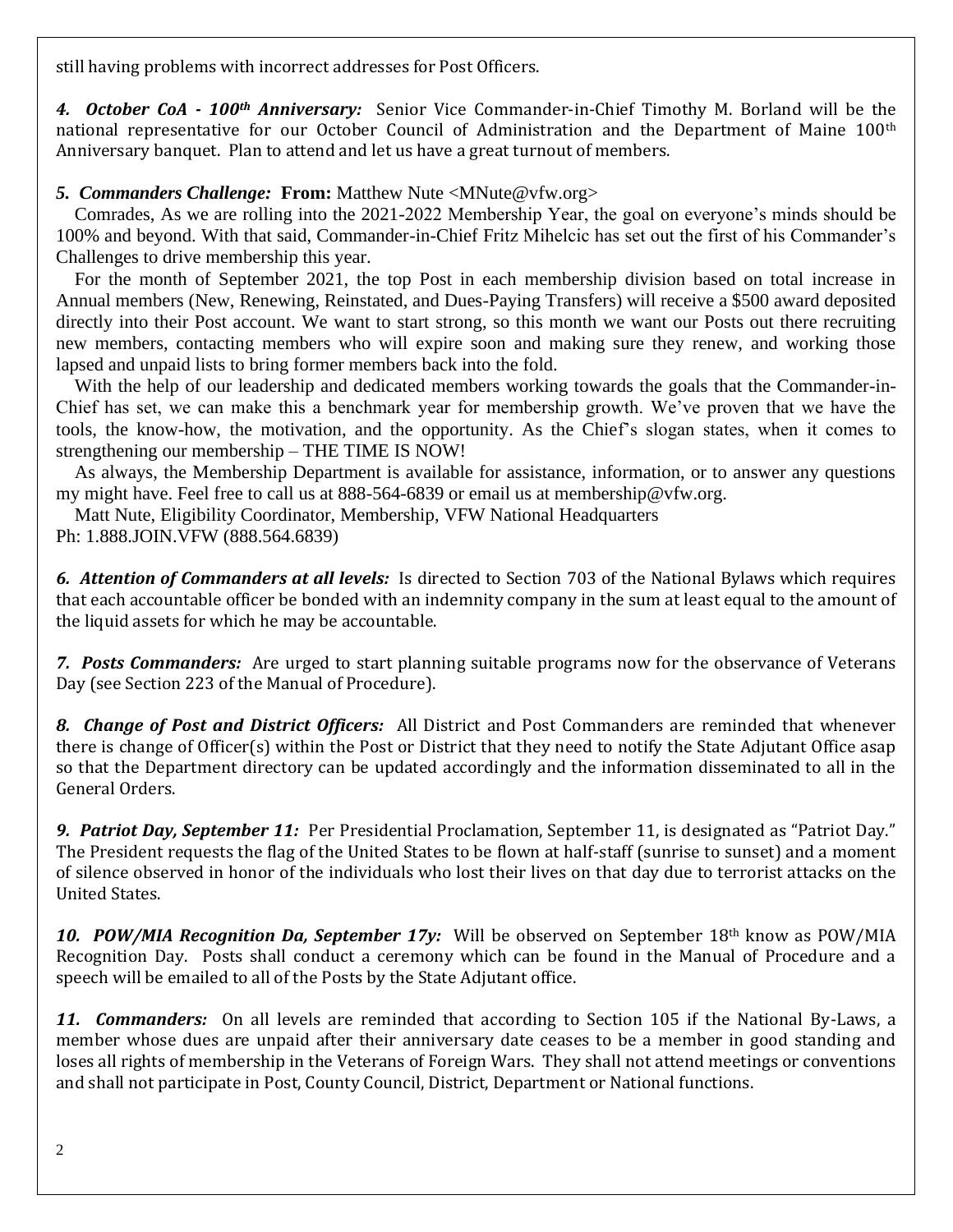still having problems with incorrect addresses for Post Officers.

*4. October CoA - 100th Anniversary:* Senior Vice Commander-in-Chief Timothy M. Borland will be the national representative for our October Council of Administration and the Department of Maine 100<sup>th</sup> Anniversary banquet. Plan to attend and let us have a great turnout of members.

*5. Commanders Challenge:* **From:** Matthew Nute [<MNute@vfw.org>](mailto:MNute@vfw.org)

 Comrades, As we are rolling into the 2021-2022 Membership Year, the goal on everyone's minds should be 100% and beyond. With that said, Commander-in-Chief Fritz Mihelcic has set out the first of his Commander's Challenges to drive membership this year.

 For the month of September 2021, the top Post in each membership division based on total increase in Annual members (New, Renewing, Reinstated, and Dues-Paying Transfers) will receive a \$500 award deposited directly into their Post account. We want to start strong, so this month we want our Posts out there recruiting new members, contacting members who will expire soon and making sure they renew, and working those lapsed and unpaid lists to bring former members back into the fold.

With the help of our leadership and dedicated members working towards the goals that the Commander-in-Chief has set, we can make this a benchmark year for membership growth. We've proven that we have the tools, the know-how, the motivation, and the opportunity. As the Chief's slogan states, when it comes to strengthening our membership – THE TIME IS NOW!

 As always, the Membership Department is available for assistance, information, or to answer any questions my might have. Feel free to call us at 888-564-6839 or email us at [membership@vfw.org.](mailto:membership@vfw.org)

Matt Nute, Eligibility Coordinator, Membership, VFW National Headquarters

Ph: 1.888.JOIN.VFW (888.564.6839)

*6. Attention of Commanders at all levels:* Is directed to Section 703 of the National Bylaws which requires that each accountable officer be bonded with an indemnity company in the sum at least equal to the amount of the liquid assets for which he may be accountable.

*7. Posts Commanders:* Are urged to start planning suitable programs now for the observance of Veterans Day (see Section 223 of the Manual of Procedure).

*8. Change of Post and District Officers:* All District and Post Commanders are reminded that whenever there is change of Officer(s) within the Post or District that they need to notify the State Adjutant Office asap so that the Department directory can be updated accordingly and the information disseminated to all in the General Orders.

*9. Patriot Day, September 11:*Per Presidential Proclamation, September 11, is designated as "Patriot Day." The President requests the flag of the United States to be flown at half-staff (sunrise to sunset) and a moment of silence observed in honor of the individuals who lost their lives on that day due to terrorist attacks on the United States.

*10. POW/MIA Recognition Da, September 17y:* Will be observed on September 18th know as POW/MIA Recognition Day. Posts shall conduct a ceremony which can be found in the Manual of Procedure and a speech will be emailed to all of the Posts by the State Adjutant office.

*11. Commanders:* On all levels are reminded that according to Section 105 if the National By-Laws, a member whose dues are unpaid after their anniversary date ceases to be a member in good standing and loses all rights of membership in the Veterans of Foreign Wars. They shall not attend meetings or conventions and shall not participate in Post, County Council, District, Department or National functions.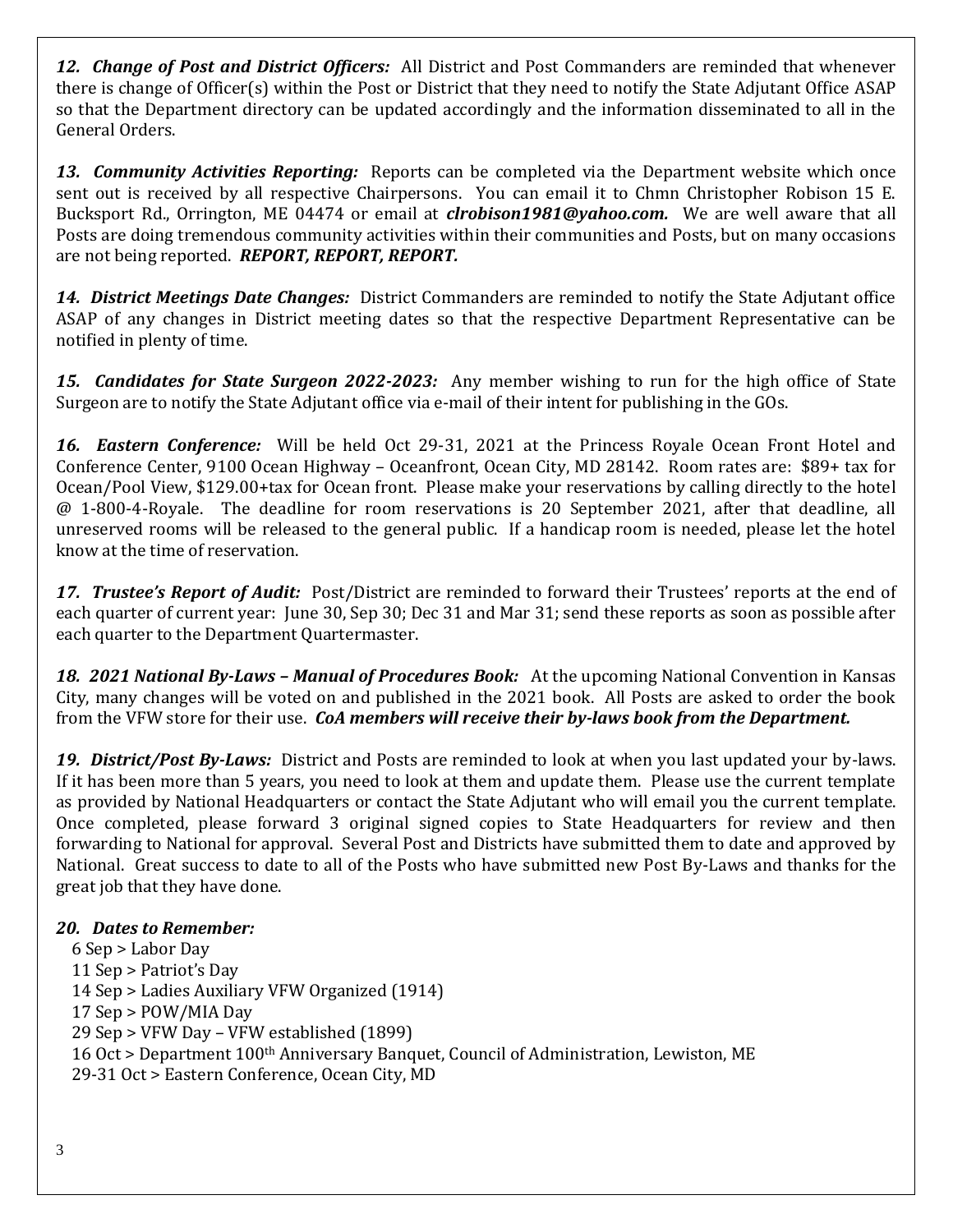*12. Change of Post and District Officers:* All District and Post Commanders are reminded that whenever there is change of Officer(s) within the Post or District that they need to notify the State Adjutant Office ASAP so that the Department directory can be updated accordingly and the information disseminated to all in the General Orders.

*13. Community Activities Reporting:* Reports can be completed via the Department website which once sent out is received by all respective Chairpersons. You can email it to Chmn Christopher Robison 15 E. Bucksport Rd., Orrington, ME 04474 or email at *[clrobison1981@yahoo.com.](mailto:clrobison1981@yahoo.com)* We are well aware that all Posts are doing tremendous community activities within their communities and Posts, but on many occasions are not being reported. *REPORT, REPORT, REPORT.* 

*14. District Meetings Date Changes:* District Commanders are reminded to notify the State Adjutant office ASAP of any changes in District meeting dates so that the respective Department Representative can be notified in plenty of time.

*15. Candidates for State Surgeon 2022-2023:* Any member wishing to run for the high office of State Surgeon are to notify the State Adjutant office via e-mail of their intent for publishing in the GOs.

*16. Eastern Conference:* Will be held Oct 29-31, 2021 at the Princess Royale Ocean Front Hotel and Conference Center, 9100 Ocean Highway – Oceanfront, Ocean City, MD 28142. Room rates are: \$89+ tax for Ocean/Pool View, \$129.00+tax for Ocean front. Please make your reservations by calling directly to the hotel @ 1-800-4-Royale. The deadline for room reservations is 20 September 2021, after that deadline, all unreserved rooms will be released to the general public. If a handicap room is needed, please let the hotel know at the time of reservation.

*17. Trustee's Report of Audit:* Post/District are reminded to forward their Trustees' reports at the end of each quarter of current year: June 30, Sep 30; Dec 31 and Mar 31; send these reports as soon as possible after each quarter to the Department Quartermaster.

*18. 2021 National By-Laws – Manual of Procedures Book:* At the upcoming National Convention in Kansas City, many changes will be voted on and published in the 2021 book. All Posts are asked to order the book from the VFW store for their use. *CoA members will receive their by-laws book from the Department.*

*19. District/Post By-Laws:* District and Posts are reminded to look at when you last updated your by-laws. If it has been more than 5 years, you need to look at them and update them. Please use the current template as provided by National Headquarters or contact the State Adjutant who will email you the current template. Once completed, please forward 3 original signed copies to State Headquarters for review and then forwarding to National for approval. Several Post and Districts have submitted them to date and approved by National. Great success to date to all of the Posts who have submitted new Post By-Laws and thanks for the great job that they have done.

### *20. Dates to Remember:*

 6 Sep > Labor Day 11 Sep > Patriot's Day 14 Sep > Ladies Auxiliary VFW Organized (1914) 17 Sep > POW/MIA Day 29 Sep > VFW Day – VFW established (1899) 16 Oct > Department 100th Anniversary Banquet, Council of Administration, Lewiston, ME 29-31 Oct > Eastern Conference, Ocean City, MD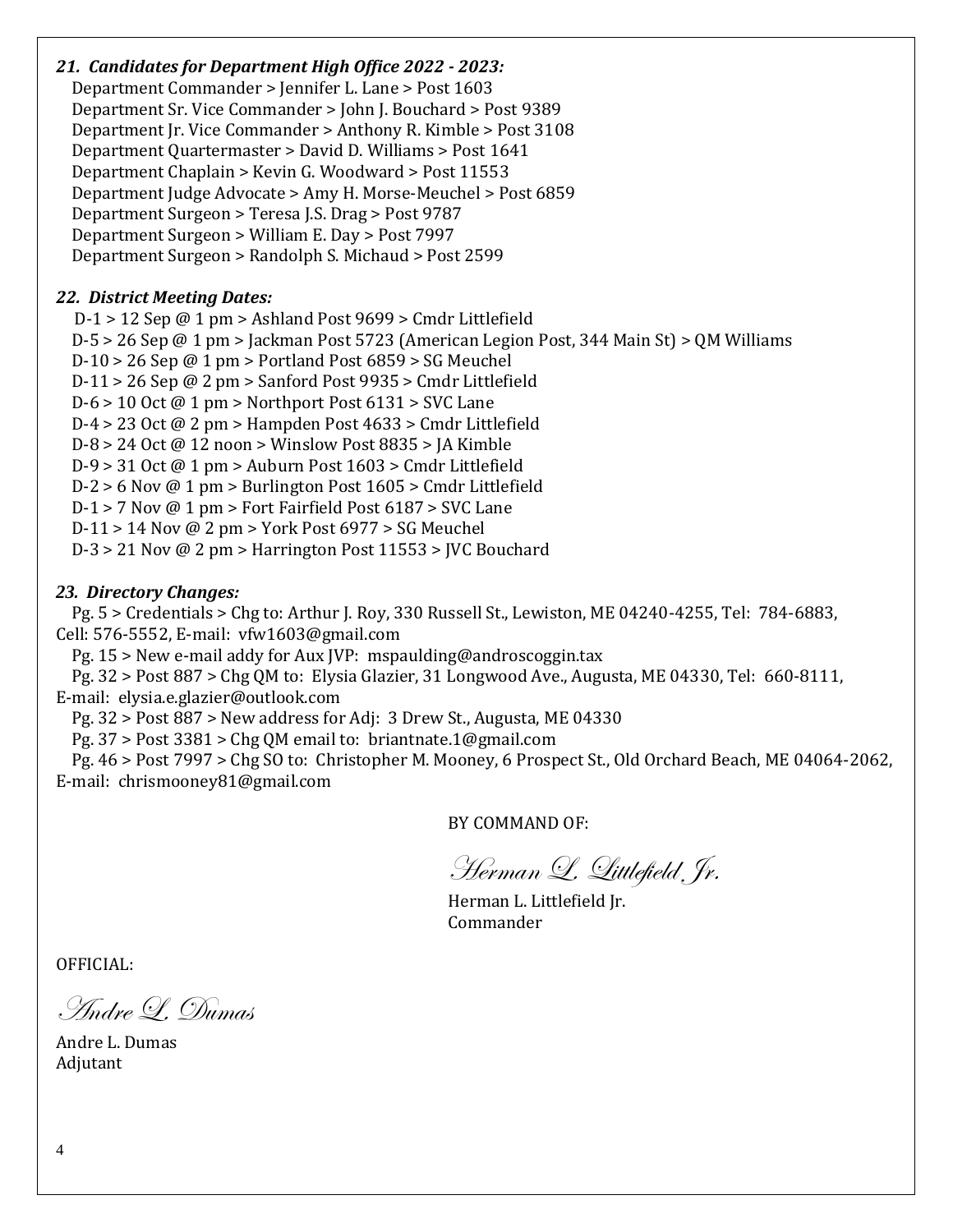### *21. Candidates for Department High Office 2022 - 2023:*

 Department Commander > Jennifer L. Lane > Post 1603 Department Sr. Vice Commander > John J. Bouchard > Post 9389 Department Jr. Vice Commander > Anthony R. Kimble > Post 3108 Department Quartermaster > David D. Williams > Post 1641 Department Chaplain > Kevin G. Woodward > Post 11553 Department Judge Advocate > Amy H. Morse-Meuchel > Post 6859 Department Surgeon > Teresa J.S. Drag > Post 9787 Department Surgeon > William E. Day > Post 7997 Department Surgeon > Randolph S. Michaud > Post 2599

### *22. District Meeting Dates:*

 D-1 > 12 Sep @ 1 pm > Ashland Post 9699 > Cmdr Littlefield D-5 > 26 Sep @ 1 pm > Jackman Post 5723 (American Legion Post, 344 Main St) > QM Williams  $D-10 > 26$  Sep @ 1 pm > Portland Post 6859 > SG Meuchel D-11 > 26 Sep @ 2 pm > Sanford Post 9935 > Cmdr Littlefield D-6 > 10 Oct @ 1 pm > Northport Post 6131 > SVC Lane D-4  $>$  23 Oct @ 2 pm  $>$  Hampden Post 4633  $>$  Cmdr Littlefield D-8 > 24 Oct @ 12 noon > Winslow Post 8835 > JA Kimble D-9 > 31 Oct @ 1 pm > Auburn Post 1603 > Cmdr Littlefield  $D-2 > 6$  Nov @ 1 pm > Burlington Post 1605 > Cmdr Littlefield D-1 > 7 Nov @ 1 pm > Fort Fairfield Post 6187 > SVC Lane D-11 > 14 Nov @ 2 pm > York Post 6977 > SG Meuchel D-3 > 21 Nov @ 2 pm > Harrington Post 11553 > JVC Bouchard

### *23. Directory Changes:*

 Pg. 5 > Credentials > Chg to: Arthur J. Roy, 330 Russell St., Lewiston, ME 04240-4255, Tel: 784-6883, Cell: 576-5552, E-mail: [vfw1603@gmail.com](mailto:vfw1603@gmail.com)

Pg. 15 > New e-mail addy for Aux JVP: mspaulding@androscoggin.tax

 Pg. 32 > Post 887 > Chg QM to: Elysia Glazier, 31 Longwood Ave., Augusta, ME 04330, Tel: 660-8111, E-mail: [elysia.e.glazier@outlook.com](mailto:elysia.e.glazier@outlook.com)

Pg. 32 > Post 887 > New address for Adj: 3 Drew St., Augusta, ME 04330

Pg. 37 > Post 3381 > Chg QM email to: [briantnate.1@gmail.com](mailto:briantnate.1@gmail.com)

 Pg. 46 > Post 7997 > Chg SO to: Christopher M. Mooney, 6 Prospect St., Old Orchard Beach, ME 04064-2062, E-mail: chrismooney81@gmail.com

BY COMMAND OF:

Herman L. Littlefield Jr.

Herman L. Littlefield Jr. Commander

OFFICIAL:

Andre L. Dumas

Andre L. Dumas Adjutant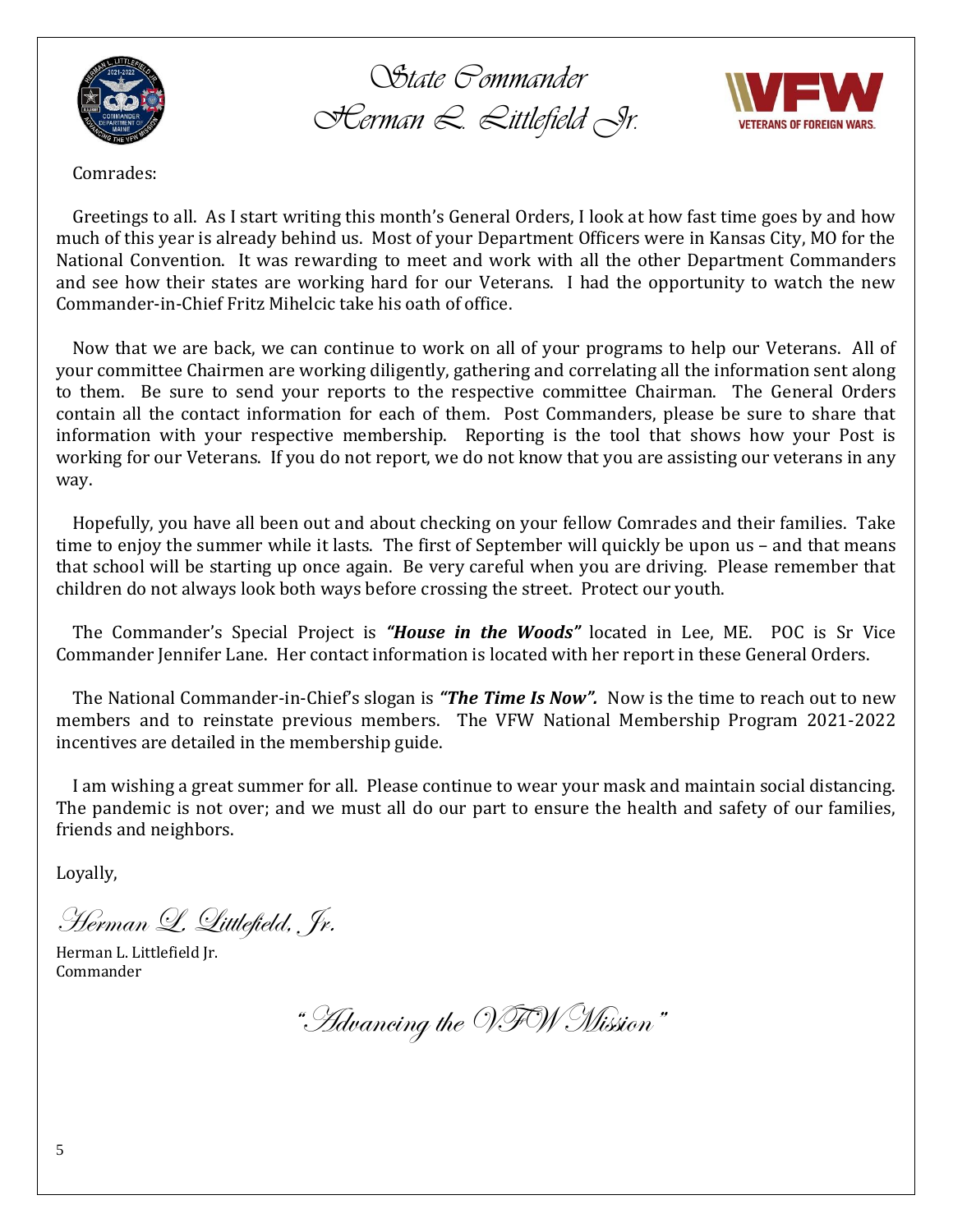

*State Commander Herman L. Littlefield Jr.*



Comrades:

 Greetings to all. As I start writing this month's General Orders, I look at how fast time goes by and how much of this year is already behind us. Most of your Department Officers were in Kansas City, MO for the National Convention. It was rewarding to meet and work with all the other Department Commanders and see how their states are working hard for our Veterans. I had the opportunity to watch the new Commander-in-Chief Fritz Mihelcic take his oath of office.

 Now that we are back, we can continue to work on all of your programs to help our Veterans. All of your committee Chairmen are working diligently, gathering and correlating all the information sent along to them. Be sure to send your reports to the respective committee Chairman. The General Orders contain all the contact information for each of them. Post Commanders, please be sure to share that information with your respective membership. Reporting is the tool that shows how your Post is working for our Veterans. If you do not report, we do not know that you are assisting our veterans in any way.

 Hopefully, you have all been out and about checking on your fellow Comrades and their families. Take time to enjoy the summer while it lasts. The first of September will quickly be upon us – and that means that school will be starting up once again. Be very careful when you are driving. Please remember that children do not always look both ways before crossing the street. Protect our youth.

 The Commander's Special Project is *"House in the Woods"* located in Lee, ME. POC is Sr Vice Commander Jennifer Lane. Her contact information is located with her report in these General Orders.

 The National Commander-in-Chief's slogan is *"The Time Is Now".* Now is the time to reach out to new members and to reinstate previous members. The VFW National Membership Program 2021-2022 incentives are detailed in the membership guide.

 I am wishing a great summer for all. Please continue to wear your mask and maintain social distancing. The pandemic is not over; and we must all do our part to ensure the health and safety of our families, friends and neighbors.

Loyally,

Herman L. Littlefield, Jr.

Herman L. Littlefield Jr. Commander

"Advancing the VFW Mission"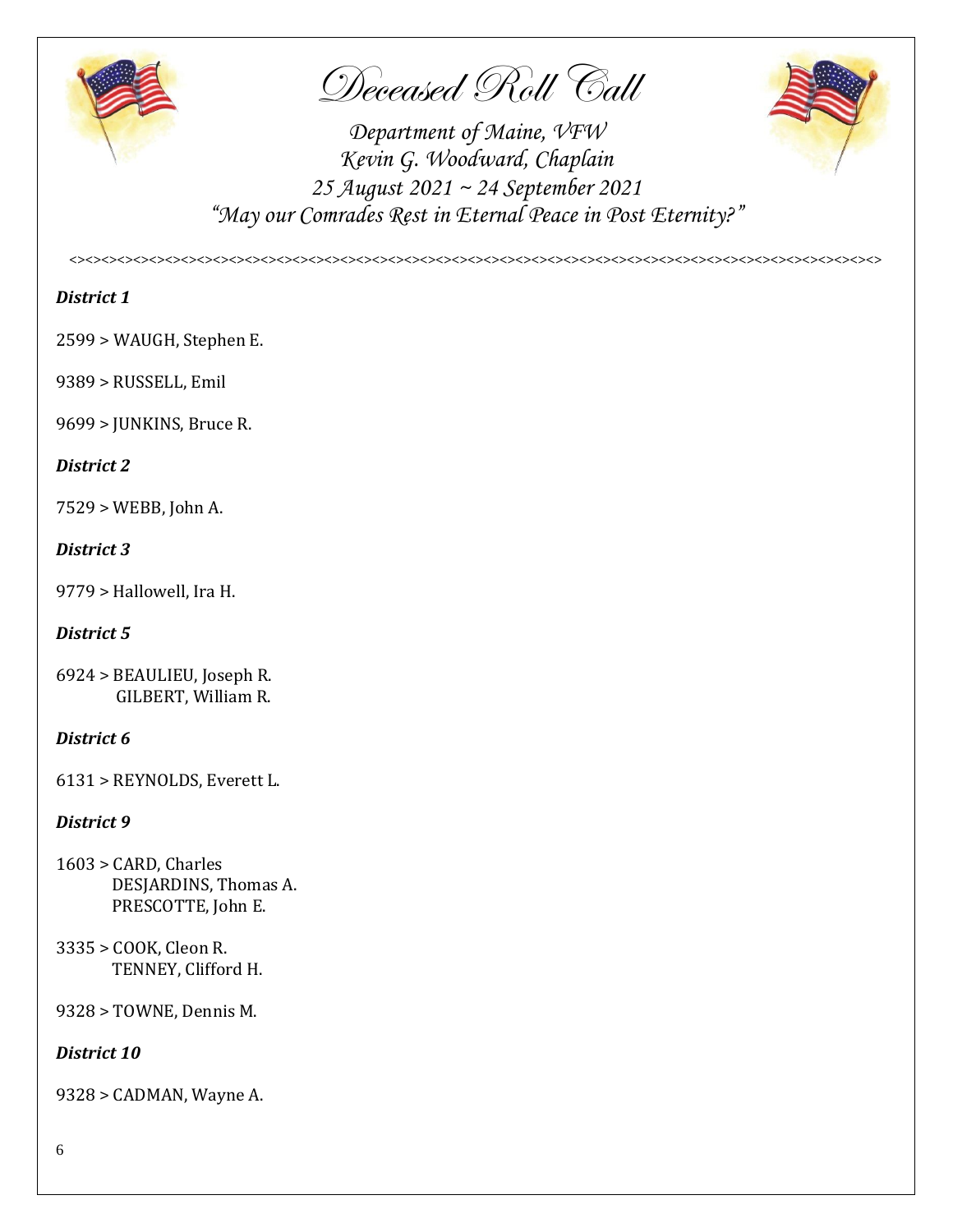

Deceased Roll Call



*Department of Maine, VFW Kevin G. Woodward, Chaplain 25 August 2021 ~ 24 September 2021 "May our Comrades Rest in Eternal Peace in Post Eternity?"*

*<><><><><><><><><><><><><><><><><><><><><><><><><><><><><><><><><><><><><><><><><><><><><><><><><><><>*

### *District 1*

2599 > WAUGH, Stephen E.

9389 > RUSSELL, Emil

9699 > JUNKINS, Bruce R.

### *District 2*

7529 > WEBB, John A.

### *District 3*

9779 > Hallowell, Ira H.

### *District 5*

6924 > BEAULIEU, Joseph R. GILBERT, William R.

### *District 6*

6131 > REYNOLDS, Everett L.

### *District 9*

- 1603 > CARD, Charles DESJARDINS, Thomas A. PRESCOTTE, John E.
- 3335 > COOK, Cleon R. TENNEY, Clifford H.

9328 > TOWNE, Dennis M.

*District 10*

9328 > CADMAN, Wayne A.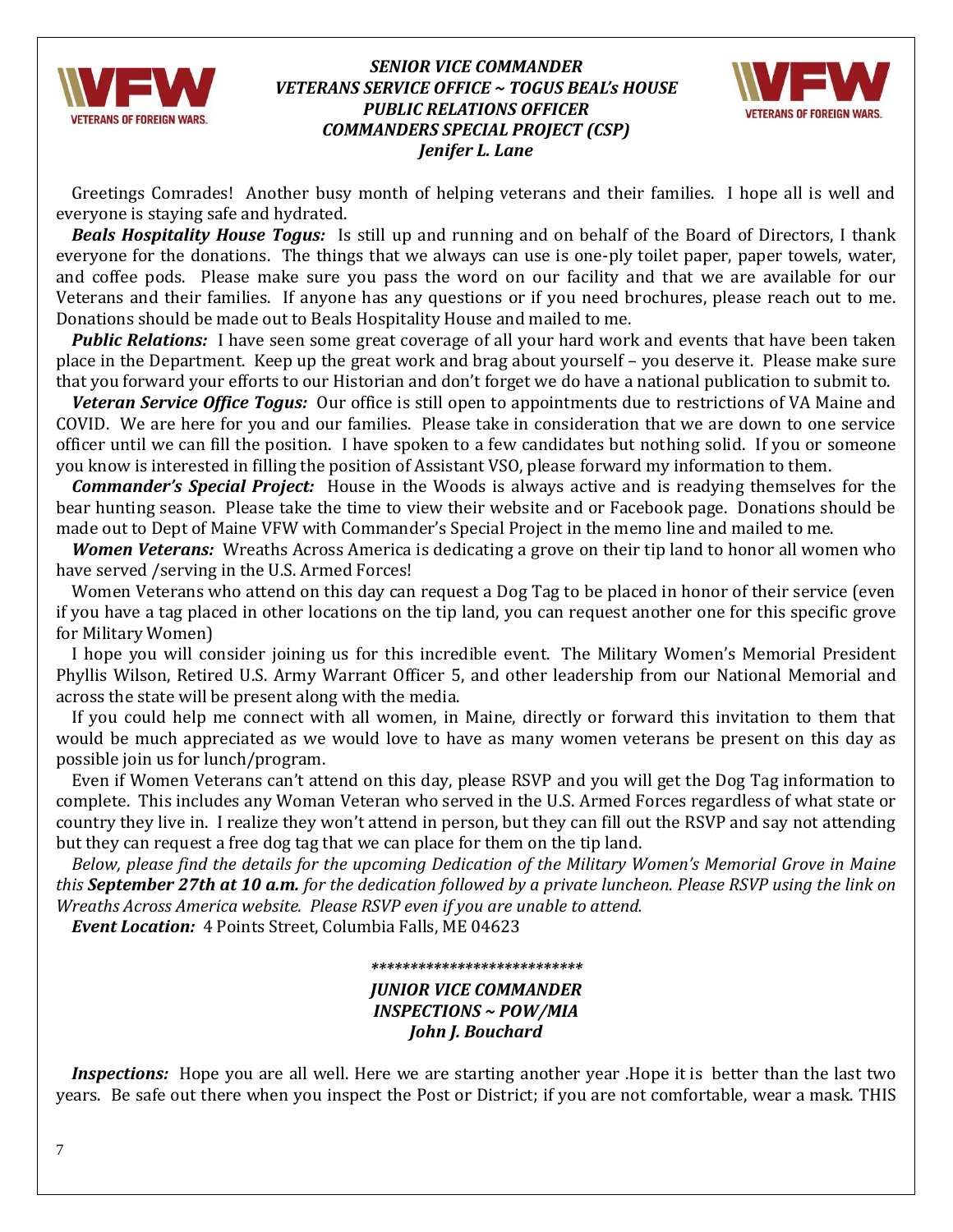

### *SENIOR VICE COMMANDER VETERANS SERVICE OFFICE ~ TOGUS BEAL's HOUSE PUBLIC RELATIONS OFFICER COMMANDERS SPECIAL PROJECT (CSP) Jenifer L. Lane*



 Greetings Comrades! Another busy month of helping veterans and their families. I hope all is well and everyone is staying safe and hydrated.

*Beals Hospitality House Togus:*Is still up and running and on behalf of the Board of Directors, I thank everyone for the donations. The things that we always can use is one-ply toilet paper, paper towels, water, and coffee pods. Please make sure you pass the word on our facility and that we are available for our Veterans and their families. If anyone has any questions or if you need brochures, please reach out to me. Donations should be made out to Beals Hospitality House and mailed to me.

*Public Relations:*I have seen some great coverage of all your hard work and events that have been taken place in the Department. Keep up the great work and brag about yourself – you deserve it. Please make sure that you forward your efforts to our Historian and don't forget we do have a national publication to submit to.

*Veteran Service Office Togus:* Our office is still open to appointments due to restrictions of VA Maine and COVID. We are here for you and our families. Please take in consideration that we are down to one service officer until we can fill the position. I have spoken to a few candidates but nothing solid. If you or someone you know is interested in filling the position of Assistant VSO, please forward my information to them.

*Commander's Special Project:*House in the Woods is always active and is readying themselves for the bear hunting season. Please take the time to view their website and or Facebook page. Donations should be made out to Dept of Maine VFW with Commander's Special Project in the memo line and mailed to me.

*Women Veterans:*Wreaths Across America is dedicating a grove on their tip land to honor all women who have served /serving in the U.S. Armed Forces!

 Women Veterans who attend on this day can request a Dog Tag to be placed in honor of their service (even if you have a tag placed in other locations on the tip land, you can request another one for this specific grove for Military Women)

 I hope you will consider joining us for this incredible event. The Military Women's Memorial President Phyllis Wilson, Retired U.S. Army Warrant Officer 5, and other leadership from our National Memorial and across the state will be present along with the media.

 If you could help me connect with all women, in Maine, directly or forward this invitation to them that would be much appreciated as we would love to have as many women veterans be present on this day as possible join us for lunch/program.

 Even if Women Veterans can't attend on this day, please RSVP and you will get the Dog Tag information to complete. This includes any Woman Veteran who served in the U.S. Armed Forces regardless of what state or country they live in. I realize they won't attend in person, but they can fill out the RSVP and say not attending but they can request a free dog tag that we can place for them on the tip land.

 *Below, please find the details for the upcoming Dedication of the Military Women's Memorial Grove in Maine this September 27th at 10 a.m. for the dedication followed by a private luncheon. Please RSVP using the link on Wreaths Across America website. Please RSVP even if you are unable to attend.* 

*Event Location:* 4 Points Street, Columbia Falls, ME 04623

#### *\*\*\*\*\*\*\*\*\*\*\*\*\*\*\*\*\*\*\*\*\*\*\*\*\*\*\**

### *JUNIOR VICE COMMANDER INSPECTIONS ~ POW/MIA John J. Bouchard*

 *Inspections:* Hope you are all well. Here we are starting another year .Hope it is better than the last two years. Be safe out there when you inspect the Post or District; if you are not comfortable, wear a mask. THIS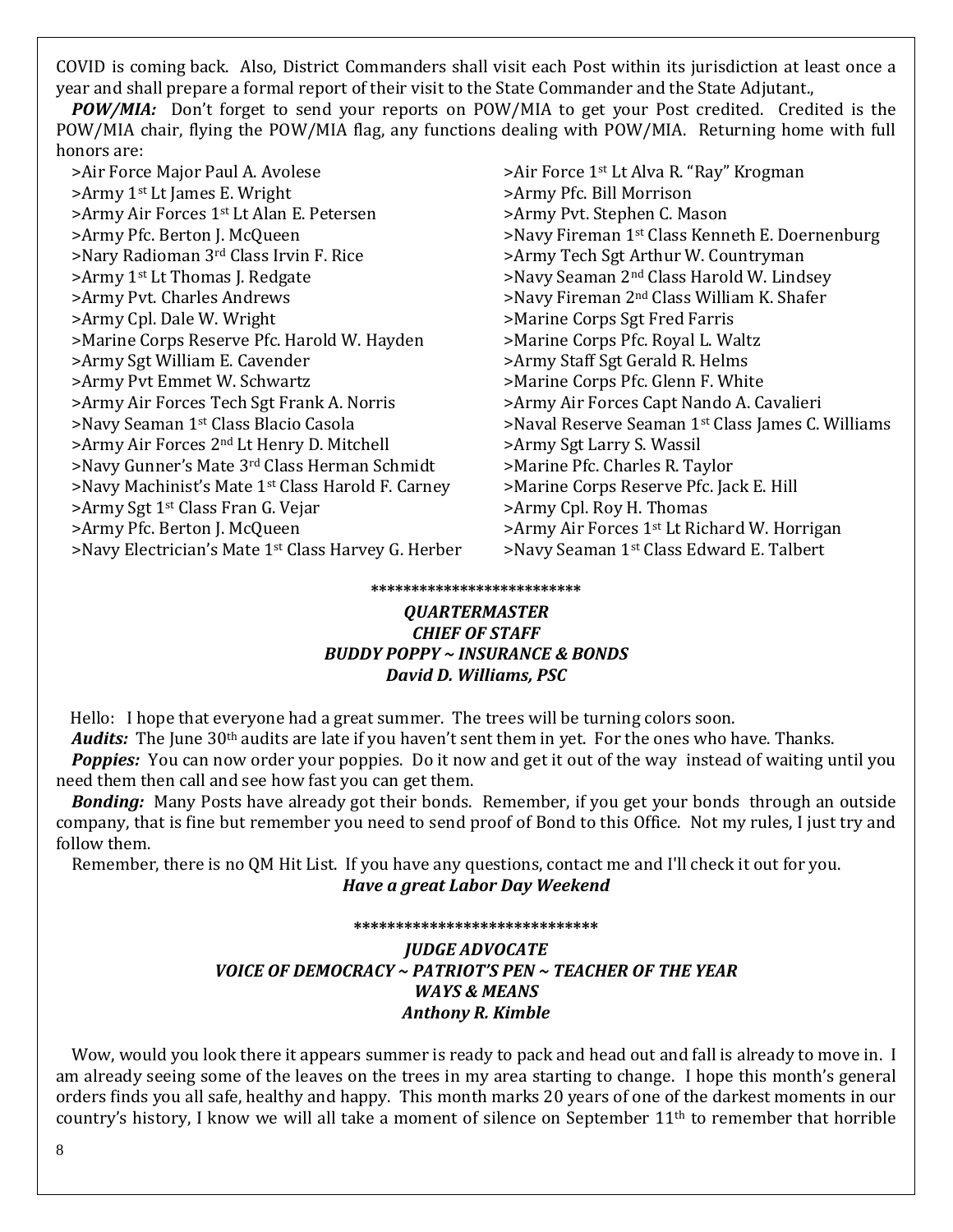COVID is coming back. Also, District Commanders shall visit each Post within its jurisdiction at least once a year and shall prepare a formal report of their visit to the State Commander and the State Adjutant.,

 *POW/MIA:* Don't forget to send your reports on POW/MIA to get your Post credited. Credited is the POW/MIA chair, flying the POW/MIA flag, any functions dealing with POW/MIA. Returning home with full honors are:

>Air Force Major Paul A. Avolese >Air Force 1<sup>st</sup> Lt Alva R. "Ray" Krogman >Army 1st Lt James E. Wright >Army Pfc. Bill Morrison >Army Air Forces 1<sup>st</sup> Lt Alan E. Petersen >Army Pvt. Stephen C. Mason >Army Pfc. Berton J. McQueen >Navy Fireman 1st Class Kenneth E. Doernenburg >Nary Radioman 3<sup>rd</sup> Class Irvin F. Rice >Army Tech Sgt Arthur W. Countryman >Army 1<sup>st</sup> Lt Thomas J. Redgate >>Navy Seaman 2<sup>nd</sup> Class Harold W. Lindsey >Army Pvt. Charles Andrews >Navy Fireman 2nd Class William K. Shafer >Army Cpl. Dale W. Wright >Marine Corps Sgt Fred Farris >Marine Corps Reserve Pfc. Harold W. Hayden >Marine Corps Pfc. Royal L. Waltz >Army Sgt William E. Cavender >Army Staff Sgt Gerald R. Helms >Army Pvt Emmet W. Schwartz >Marine Corps Pfc. Glenn F. White >Army Air Forces Tech Sgt Frank A. Norris >Army Air Forces Capt Nando A. Cavalieri >Army Air Forces 2<sup>nd</sup> Lt Henry D. Mitchell >Navy Gunner's Mate 3rd Class Herman Schmidt >Marine Pfc. Charles R. Taylor >Navy Machinist's Mate 1st Class Harold F. Carney >Marine Corps Reserve Pfc. Jack E. Hill >Army Sgt 1<sup>st</sup> Class Fran G. Vejar >Army Cpl. Roy H. Thomas >Army Pfc. Berton J. McQueen >>Army Air Forces 1<sup>st</sup> Lt Richard W. Horrigan >Navy Electrician's Mate 1<sup>st</sup> Class Harvey G. Herber >Navy Seaman 1<sup>st</sup> Class Edward E. Talbert

>Navy Seaman 1st Class Blacio Casola >Naval Reserve Seaman 1st Class James C. Williams

#### **\*\*\*\*\*\*\*\*\*\*\*\*\*\*\*\*\*\*\*\*\*\*\*\*\*\***

### *QUARTERMASTER CHIEF OF STAFF BUDDY POPPY ~ INSURANCE & BONDS David D. Williams, PSC*

Hello: I hope that everyone had a great summer. The trees will be turning colors soon.

*Audits:* The June 30<sup>th</sup> audits are late if you haven't sent them in yet. For the ones who have. Thanks.

 *Poppies:* You can now order your poppies. Do it now and get it out of the way instead of waiting until you need them then call and see how fast you can get them.

 *Bonding:* Many Posts have already got their bonds. Remember, if you get your bonds through an outside company, that is fine but remember you need to send proof of Bond to this Office. Not my rules, I just try and follow them.

 Remember, there is no QM Hit List. If you have any questions, contact me and I'll check it out for you. *Have a great Labor Day Weekend*

### **\*\*\*\*\*\*\*\*\*\*\*\*\*\*\*\*\*\*\*\*\*\*\*\*\*\*\*\*\*** *JUDGE ADVOCATE VOICE OF DEMOCRACY ~ PATRIOT'S PEN ~ TEACHER OF THE YEAR WAYS & MEANS Anthony R. Kimble*

 Wow, would you look there it appears summer is ready to pack and head out and fall is already to move in. I am already seeing some of the leaves on the trees in my area starting to change. I hope this month's general orders finds you all safe, healthy and happy. This month marks 20 years of one of the darkest moments in our country's history, I know we will all take a moment of silence on September 11th to remember that horrible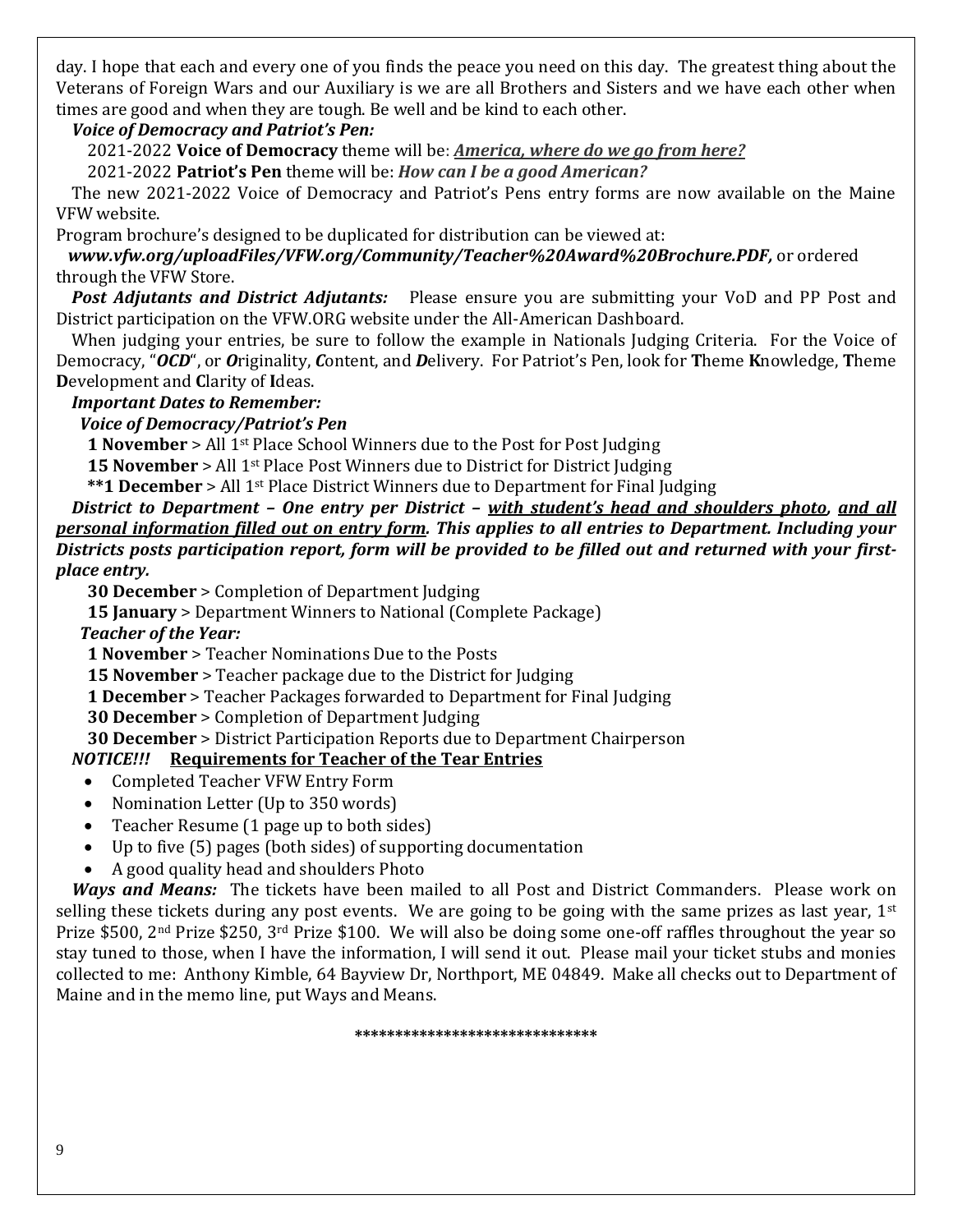day. I hope that each and every one of you finds the peace you need on this day. The greatest thing about the Veterans of Foreign Wars and our Auxiliary is we are all Brothers and Sisters and we have each other when times are good and when they are tough. Be well and be kind to each other.

### *Voice of Democracy and Patriot's Pen:*

2021-2022 **Voice of Democracy** theme will be: *America, where do we go from here?* 

2021-2022 **Patriot's Pen** theme will be: *How can I be a good American?*

 The new 2021-2022 Voice of Democracy and Patriot's Pens entry forms are now available on the Maine VFW website.

Program brochure's designed to be duplicated for distribution can be viewed at:

 *[www.vfw.org/uploadFiles/VFW.org/Community/Teacher%20Award%20Brochure.PDF,](http://www.vfw.org/uploadFiles/VFW.org/Community/Teacher%20Award%20Brochure.PDF)* or ordered through the VFW Store.

*Post Adjutants and District Adjutants:*Please ensure you are submitting your VoD and PP Post and District participation on the VFW.ORG website under the All-American Dashboard.

 When judging your entries, be sure to follow the example in Nationals Judging Criteria. For the Voice of Democracy, "*OCD*", or *O*riginality, *C*ontent, and *D*elivery. For Patriot's Pen, look for **T**heme **K**nowledge, **T**heme **D**evelopment and **C**larity of **I**deas.

### *Important Dates to Remember:*

### *Voice of Democracy/Patriot's Pen*

 **1 November** > All 1st Place School Winners due to the Post for Post Judging

**15 November** > All 1<sup>st</sup> Place Post Winners due to District for District Judging

 **\*\*1 December** > All 1st Place District Winners due to Department for Final Judging

 *District to Department – One entry per District – with student's head and shoulders photo, and all personal information filled out on entry form. This applies to all entries to Department. Including your Districts posts participation report, form will be provided to be filled out and returned with your firstplace entry.*

 **30 December** > Completion of Department Judging

 **15 January** > Department Winners to National (Complete Package)

*Teacher of the Year:*

 **1 November** > Teacher Nominations Due to the Posts

 **15 November** > Teacher package due to the District for Judging

 **1 December** > Teacher Packages forwarded to Department for Final Judging

 **30 December** > Completion of Department Judging

 **30 December** > District Participation Reports due to Department Chairperson

### *NOTICE!!!* **Requirements for Teacher of the Tear Entries**

- Completed Teacher VFW Entry Form
- Nomination Letter (Up to 350 words)
- Teacher Resume (1 page up to both sides)
- Up to five (5) pages (both sides) of supporting documentation
- A good quality head and shoulders Photo

 *Ways and Means:* The tickets have been mailed to all Post and District Commanders. Please work on selling these tickets during any post events. We are going to be going with the same prizes as last year,  $1^{st}$ Prize \$500, 2nd Prize \$250, 3rd Prize \$100. We will also be doing some one-off raffles throughout the year so stay tuned to those, when I have the information, I will send it out. Please mail your ticket stubs and monies collected to me: Anthony Kimble, 64 Bayview Dr, Northport, ME 04849. Make all checks out to Department of Maine and in the memo line, put Ways and Means.

**\*\*\*\*\*\*\*\*\*\*\*\*\*\*\*\*\*\*\*\*\*\*\*\*\*\*\*\*\*\***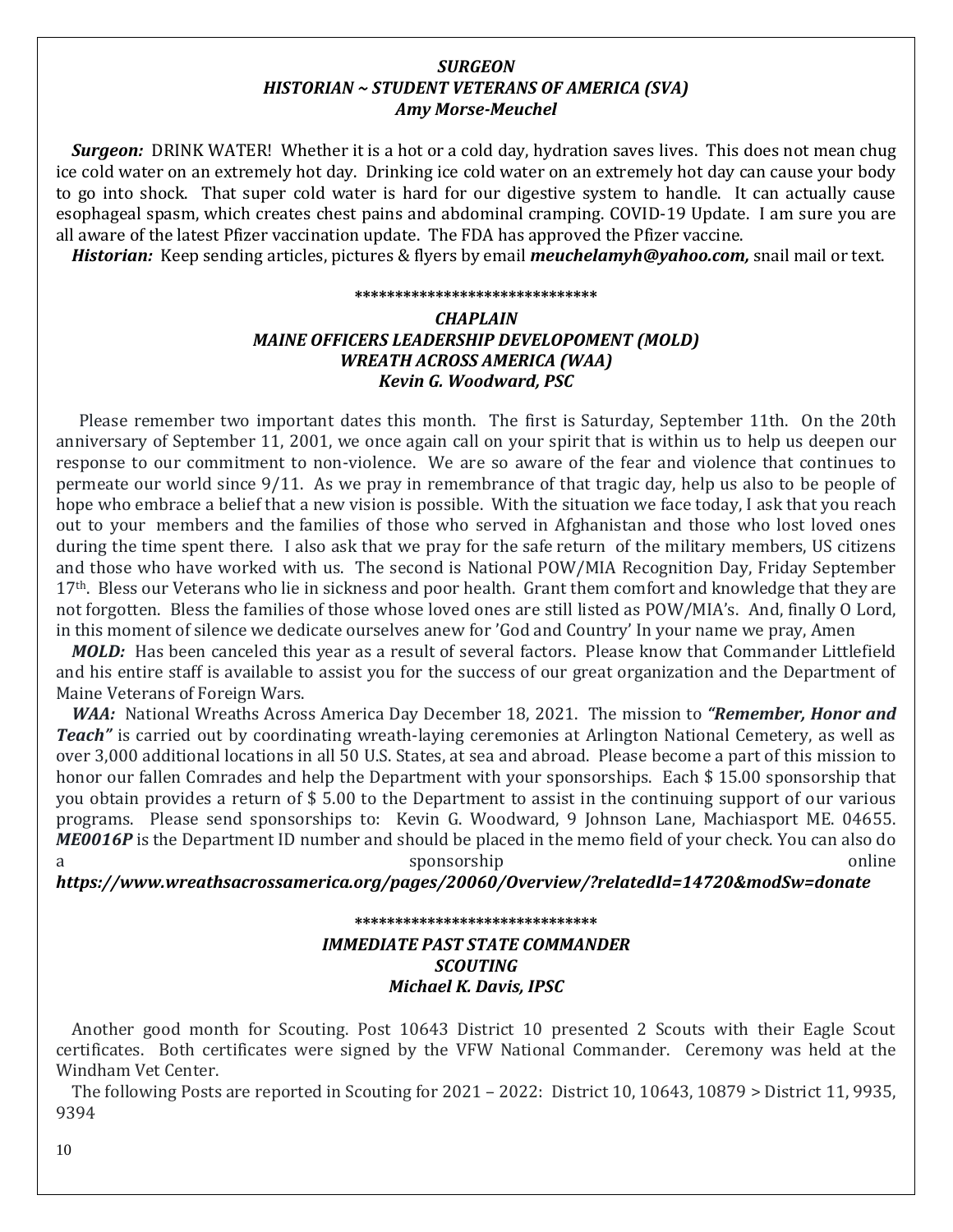### *SURGEON HISTORIAN ~ STUDENT VETERANS OF AMERICA (SVA) Amy Morse-Meuchel*

 *Surgeon:* DRINK WATER! Whether it is a hot or a cold day, hydration saves lives. This does not mean chug ice cold water on an extremely hot day. Drinking ice cold water on an extremely hot day can cause your body to go into shock. That super cold water is hard for our digestive system to handle. It can actually cause esophageal spasm, which creates chest pains and abdominal cramping. COVID-19 Update. I am sure you are all aware of the latest Pfizer vaccination update. The FDA has approved the Pfizer vaccine.

*Historian:* Keep sending articles, pictures & flyers by email *[meuchelamyh@yahoo.com,](mailto:meuchelamyh@yahoo.com)* snail mail or text.

#### **\*\*\*\*\*\*\*\*\*\*\*\*\*\*\*\*\*\*\*\*\*\*\*\*\*\*\*\*\*\***

### *CHAPLAIN MAINE OFFICERS LEADERSHIP DEVELOPOMENT (MOLD) WREATH ACROSS AMERICA (WAA) Kevin G. Woodward, PSC*

 Please remember two important dates this month. The first is Saturday, September 11th. On the 20th anniversary of September 11, 2001, we once again call on your spirit that is within us to help us deepen our response to our commitment to non-violence. We are so aware of the fear and violence that continues to permeate our world since 9/11. As we pray in remembrance of that tragic day, help us also to be people of hope who embrace a belief that a new vision is possible. With the situation we face today, I ask that you reach out to your members and the families of those who served in Afghanistan and those who lost loved ones during the time spent there. I also ask that we pray for the safe return of the military members, US citizens and those who have worked with us. The second is National POW/MIA Recognition Day, Friday September 17<sup>th</sup>. Bless our Veterans who lie in sickness and poor health. Grant them comfort and knowledge that they are not forgotten. Bless the families of those whose loved ones are still listed as POW/MIA's. And, finally O Lord, in this moment of silence we dedicate ourselves anew for 'God and Country' In your name we pray, Amen

 *MOLD:* Has been canceled this year as a result of several factors. Please know that Commander Littlefield and his entire staff is available to assist you for the success of our great organization and the Department of Maine Veterans of Foreign Wars.

 *WAA:* National Wreaths Across America Day December 18, 2021. The mission to *"Remember, Honor and Teach"* is carried out by coordinating wreath-laying ceremonies at Arlington National Cemetery, as well as over 3,000 additional locations in all 50 U.S. States, at sea and abroad. Please become a part of this mission to honor our fallen Comrades and help the Department with your sponsorships. Each \$ 15.00 sponsorship that you obtain provides a return of \$ 5.00 to the Department to assist in the continuing support of our various programs. Please send sponsorships to: Kevin G. Woodward, 9 Johnson Lane, Machiasport ME. 04655. *ME0016P* is the Department ID number and should be placed in the memo field of your check. You can also do sponsorship online

*<https://www.wreathsacrossamerica.org/pages/20060/Overview/?relatedId=14720&modSw=donate>*

### **\*\*\*\*\*\*\*\*\*\*\*\*\*\*\*\*\*\*\*\*\*\*\*\*\*\*\*\*\*\*** *IMMEDIATE PAST STATE COMMANDER SCOUTING Michael K. Davis, IPSC*

 Another good month for Scouting. Post 10643 District 10 presented 2 Scouts with their Eagle Scout certificates. Both certificates were signed by the VFW National Commander. Ceremony was held at the Windham Vet Center.

 The following Posts are reported in Scouting for 2021 – 2022: District 10, 10643, 10879 > District 11, 9935, 9394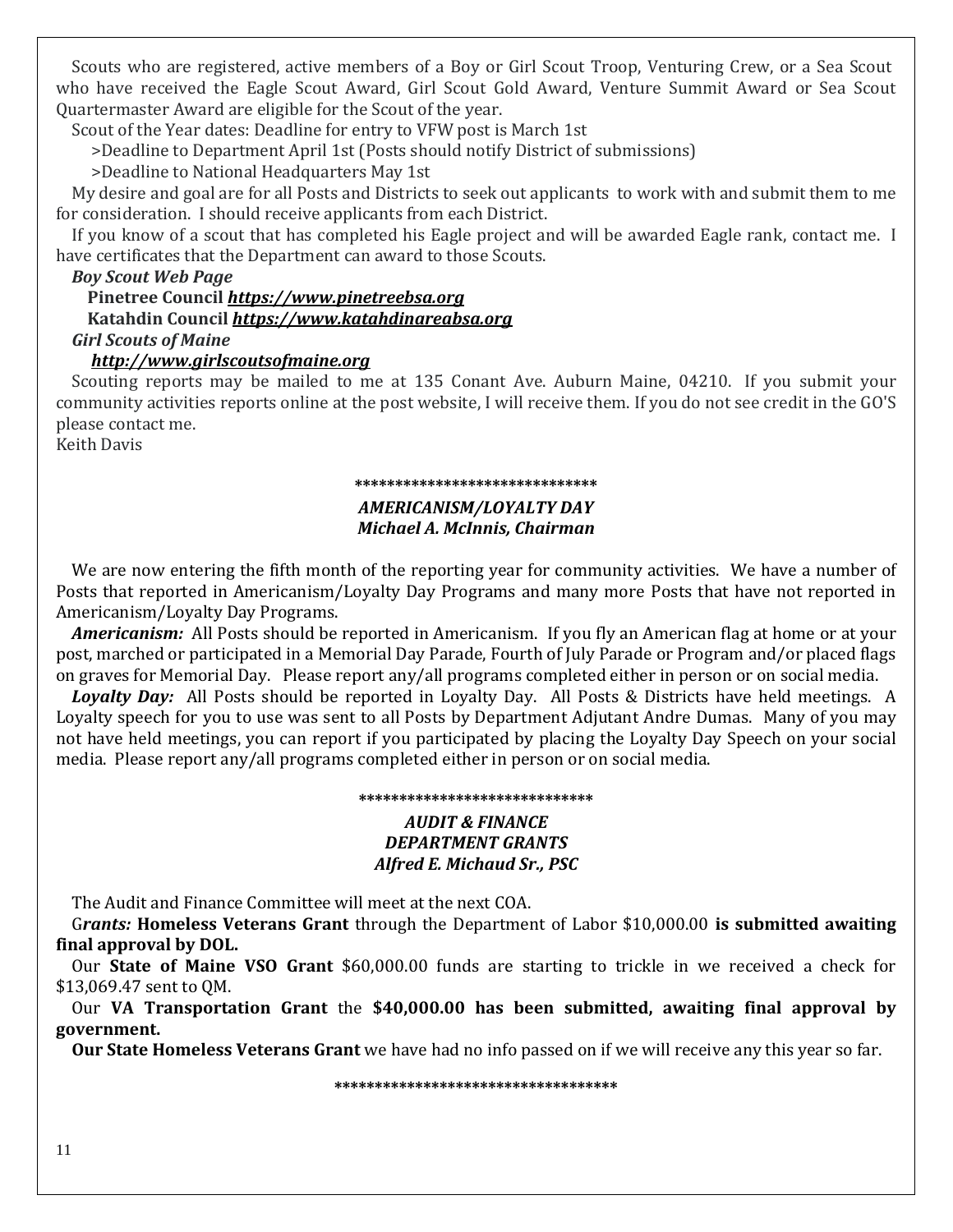Scouts who are registered, active members of a Boy or Girl Scout Troop, Venturing Crew, or a Sea Scout who have received the Eagle Scout Award, Girl Scout Gold Award, Venture Summit Award or Sea Scout Quartermaster Award are eligible for the Scout of the year.

Scout of the Year dates: Deadline for entry to VFW post is March 1st

>Deadline to Department April 1st (Posts should notify District of submissions)

>Deadline to National Headquarters May 1st

 My desire and goal are for all Posts and Districts to seek out applicants to work with and submit them to me for consideration. I should receive applicants from each District.

 If you know of a scout that has completed his Eagle project and will be awarded Eagle rank, contact me. I have certificates that the Department can award to those Scouts.

### *Boy Scout Web Page*

 **Pinetree Council** *[https://www.pinetreebsa.org](https://www.pinetreebsa.org/)*  **Katahdin Council** *[https://www.katahdinareabsa.org](https://www.katahdinareabsa.org/) Girl Scouts of Maine*

### *[http://www.girlscoutsofmaine.org](http://www.girlscoutsofmaine.org/)*

Scouting reports may be mailed to me at 135 Conant Ave. Auburn Maine, 04210. If you submit your community activities reports online at the post website, I will receive them. If you do not see credit in the GO'S please contact me.

Keith Davis

### **\*\*\*\*\*\*\*\*\*\*\*\*\*\*\*\*\*\*\*\*\*\*\*\*\*\*\*\*\*\***

#### *AMERICANISM/LOYALTY DAY Michael A. McInnis, Chairman*

 We are now entering the fifth month of the reporting year for community activities. We have a number of Posts that reported in Americanism/Loyalty Day Programs and many more Posts that have not reported in Americanism/Loyalty Day Programs.

 *Americanism:* All Posts should be reported in Americanism. If you fly an American flag at home or at your post, marched or participated in a Memorial Day Parade, Fourth of July Parade or Program and/or placed flags on graves for Memorial Day. Please report any/all programs completed either in person or on social media.

 *Loyalty Day:* All Posts should be reported in Loyalty Day. All Posts & Districts have held meetings. A Loyalty speech for you to use was sent to all Posts by Department Adjutant Andre Dumas. Many of you may not have held meetings, you can report if you participated by placing the Loyalty Day Speech on your social media. Please report any/all programs completed either in person or on social media.

#### **\*\*\*\*\*\*\*\*\*\*\*\*\*\*\*\*\*\*\*\*\*\*\*\*\*\*\*\*\***

### *AUDIT & FINANCE DEPARTMENT GRANTS Alfred E. Michaud Sr., PSC*

The Audit and Finance Committee will meet at the next COA.

 G*rants:* **Homeless Veterans Grant** through the Department of Labor \$10,000.00 **is submitted awaiting final approval by DOL.**

 Our **State of Maine VSO Grant** \$60,000.00 funds are starting to trickle in we received a check for \$13,069.47 sent to QM.

 Our **VA Transportation Grant** the **\$40,000.00 has been submitted, awaiting final approval by government.** 

 **Our State Homeless Veterans Grant** we have had no info passed on if we will receive any this year so far.

**\*\*\*\*\*\*\*\*\*\*\*\*\*\*\*\*\*\*\*\*\*\*\*\*\*\*\*\*\*\*\*\*\*\*\***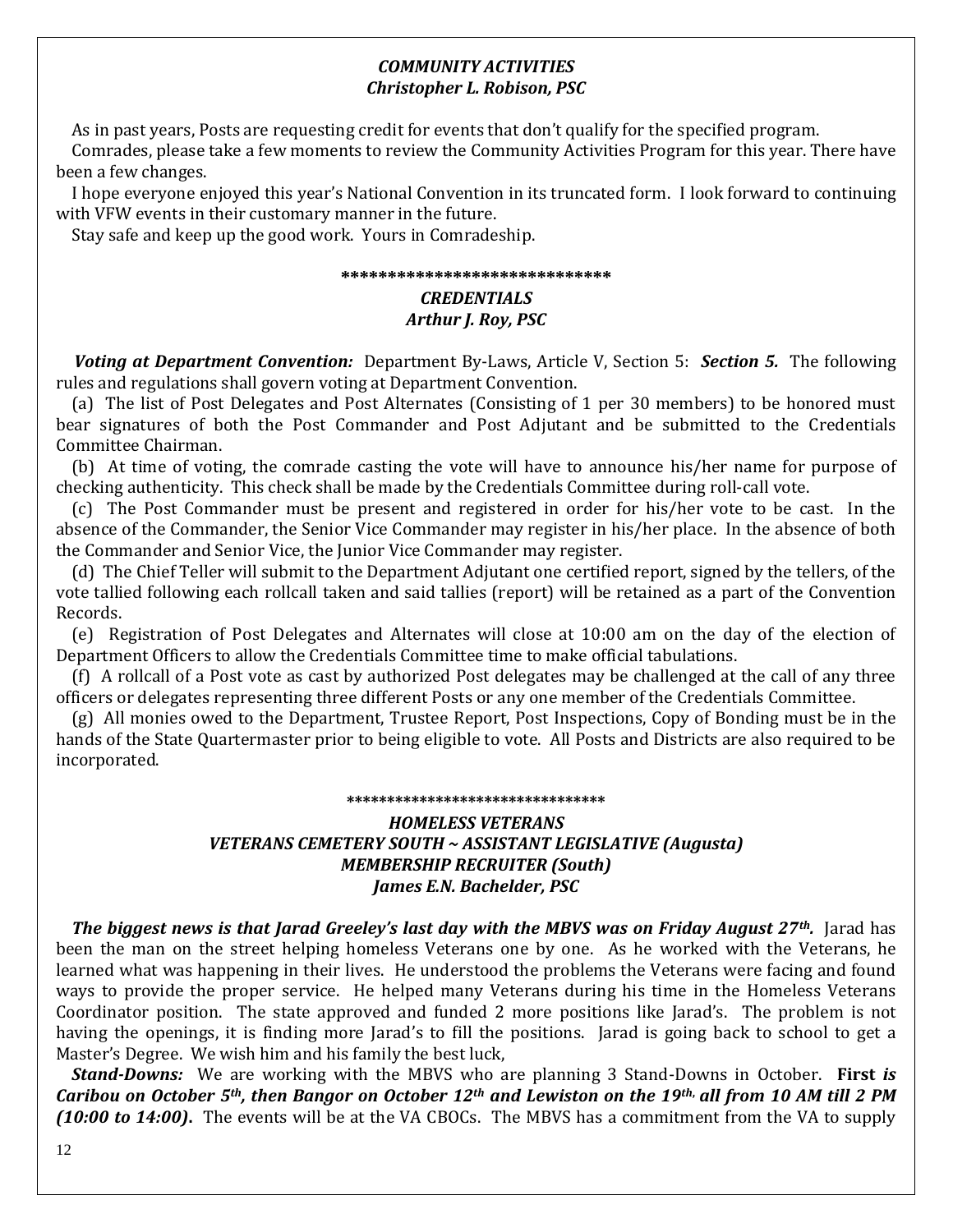### *COMMUNITY ACTIVITIES Christopher L. Robison, PSC*

As in past years, Posts are requesting credit for events that don't qualify for the specified program.

 Comrades, please take a few moments to review the Community Activities Program for this year. There have been a few changes.

 I hope everyone enjoyed this year's National Convention in its truncated form. I look forward to continuing with VFW events in their customary manner in the future.

Stay safe and keep up the good work. Yours in Comradeship.

#### **\*\*\*\*\*\*\*\*\*\*\*\*\*\*\*\*\*\*\*\*\*\*\*\*\*\*\*\*\***

### *CREDENTIALS Arthur J. Roy, PSC*

 *Voting at Department Convention:* Department By-Laws, Article V, Section 5: *Section 5.*The following rules and regulations shall govern voting at Department Convention.

 (a) The list of Post Delegates and Post Alternates (Consisting of 1 per 30 members) to be honored must bear signatures of both the Post Commander and Post Adjutant and be submitted to the Credentials Committee Chairman.

 (b) At time of voting, the comrade casting the vote will have to announce his/her name for purpose of checking authenticity. This check shall be made by the Credentials Committee during roll-call vote.

 (c) The Post Commander must be present and registered in order for his/her vote to be cast. In the absence of the Commander, the Senior Vice Commander may register in his/her place. In the absence of both the Commander and Senior Vice, the Junior Vice Commander may register.

 (d) The Chief Teller will submit to the Department Adjutant one certified report, signed by the tellers, of the vote tallied following each rollcall taken and said tallies (report) will be retained as a part of the Convention Records.

 (e) Registration of Post Delegates and Alternates will close at 10:00 am on the day of the election of Department Officers to allow the Credentials Committee time to make official tabulations.

 (f) A rollcall of a Post vote as cast by authorized Post delegates may be challenged at the call of any three officers or delegates representing three different Posts or any one member of the Credentials Committee.

 (g) All monies owed to the Department, Trustee Report, Post Inspections, Copy of Bonding must be in the hands of the State Quartermaster prior to being eligible to vote. All Posts and Districts are also required to be incorporated.

#### **\*\*\*\*\*\*\*\*\*\*\*\*\*\*\*\*\*\*\*\*\*\*\*\*\*\*\*\*\*\*\*\***

### *HOMELESS VETERANS VETERANS CEMETERY SOUTH ~ ASSISTANT LEGISLATIVE (Augusta) MEMBERSHIP RECRUITER (South) James E.N. Bachelder, PSC*

 *The biggest news is that Jarad Greeley's last day with the MBVS was on Friday August 27th.* Jarad has been the man on the street helping homeless Veterans one by one. As he worked with the Veterans, he learned what was happening in their lives. He understood the problems the Veterans were facing and found ways to provide the proper service. He helped many Veterans during his time in the Homeless Veterans Coordinator position. The state approved and funded 2 more positions like Jarad's. The problem is not having the openings, it is finding more Jarad's to fill the positions. Jarad is going back to school to get a Master's Degree. We wish him and his family the best luck,

 *Stand-Downs:* We are working with the MBVS who are planning 3 Stand-Downs in October. **First** *is Caribou on October 5th, then Bangor on October 12th and Lewiston on the 19th***,** *all from 10 AM till 2 PM (10:00 to 14:00)***.** The events will be at the VA CBOCs. The MBVS has a commitment from the VA to supply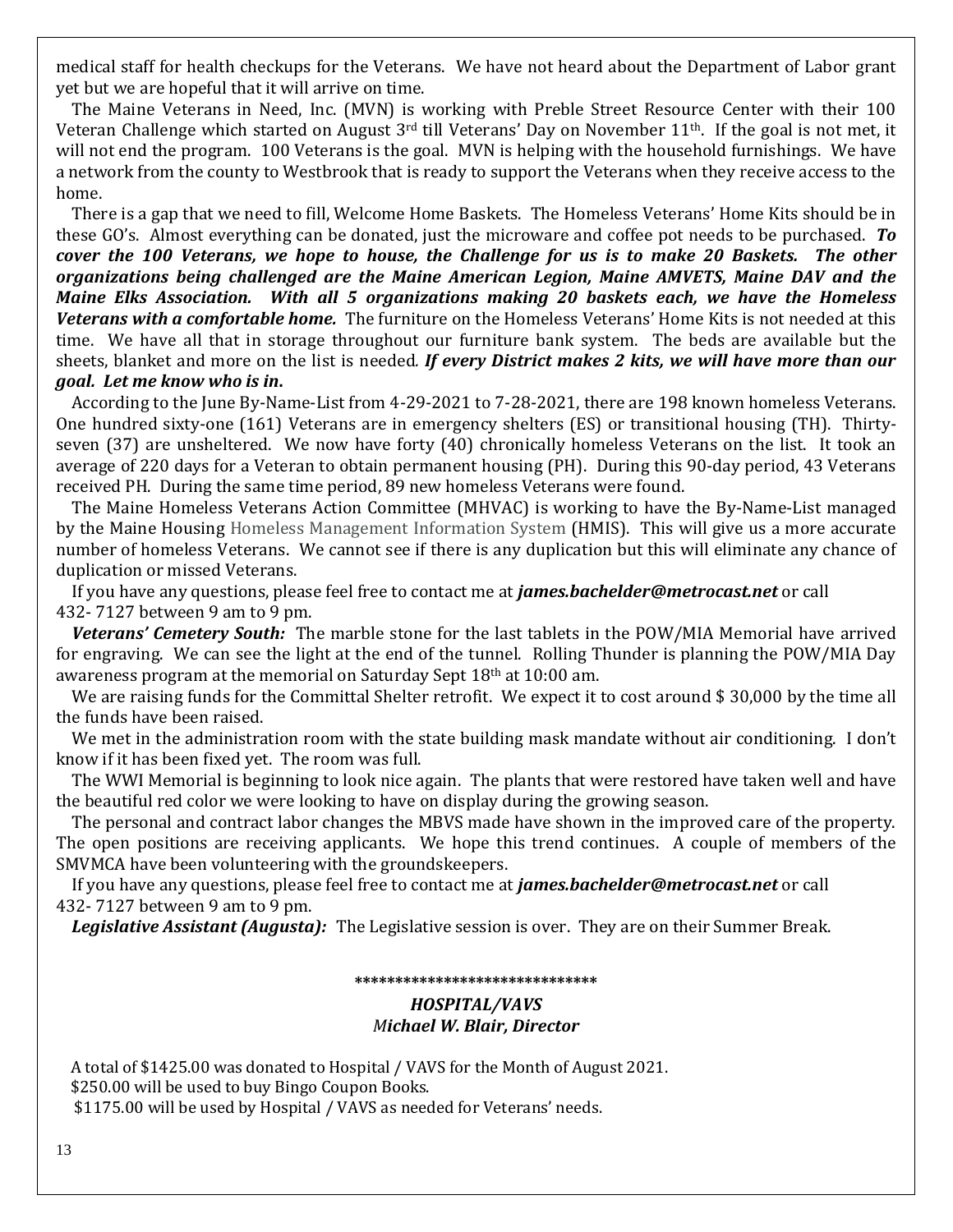medical staff for health checkups for the Veterans. We have not heard about the Department of Labor grant yet but we are hopeful that it will arrive on time.

 The Maine Veterans in Need, Inc. (MVN) is working with Preble Street Resource Center with their 100 Veteran Challenge which started on August  $3<sup>rd</sup>$  till Veterans' Day on November 11<sup>th</sup>. If the goal is not met, it will not end the program. 100 Veterans is the goal. MVN is helping with the household furnishings. We have a network from the county to Westbrook that is ready to support the Veterans when they receive access to the home.

 There is a gap that we need to fill, Welcome Home Baskets. The Homeless Veterans' Home Kits should be in these GO's. Almost everything can be donated, just the microware and coffee pot needs to be purchased. *To cover the 100 Veterans, we hope to house, the Challenge for us is to make 20 Baskets. The other organizations being challenged are the Maine American Legion, Maine AMVETS, Maine DAV and the Maine Elks Association. With all 5 organizations making 20 baskets each, we have the Homeless Veterans with a comfortable home.* The furniture on the Homeless Veterans' Home Kits is not needed at this time. We have all that in storage throughout our furniture bank system. The beds are available but the sheets, blanket and more on the list is needed*. If every District makes 2 kits, we will have more than our goal. Let me know who is in***.**

 According to the June By-Name-List from 4-29-2021 to 7-28-2021, there are 198 known homeless Veterans. One hundred sixty-one (161) Veterans are in emergency shelters (ES) or transitional housing (TH). Thirtyseven (37) are unsheltered. We now have forty (40) chronically homeless Veterans on the list. It took an average of 220 days for a Veteran to obtain permanent housing (PH). During this 90-day period, 43 Veterans received PH. During the same time period, 89 new homeless Veterans were found.

 The Maine Homeless Veterans Action Committee (MHVAC) is working to have the By-Name-List managed by the Maine Housing Homeless Management Information System (HMIS). This will give us a more accurate number of homeless Veterans. We cannot see if there is any duplication but this will eliminate any chance of duplication or missed Veterans.

 If you have any questions, please feel free to contact me at *james.bachelder@metrocast.net* or call 432- 7127 between 9 am to 9 pm.

 *Veterans' Cemetery South:* The marble stone for the last tablets in the POW/MIA Memorial have arrived for engraving. We can see the light at the end of the tunnel. Rolling Thunder is planning the POW/MIA Day awareness program at the memorial on Saturday Sept 18th at 10:00 am.

We are raising funds for the Committal Shelter retrofit. We expect it to cost around \$30,000 by the time all the funds have been raised.

We met in the administration room with the state building mask mandate without air conditioning. I don't know if it has been fixed yet. The room was full.

 The WWI Memorial is beginning to look nice again. The plants that were restored have taken well and have the beautiful red color we were looking to have on display during the growing season.

 The personal and contract labor changes the MBVS made have shown in the improved care of the property. The open positions are receiving applicants. We hope this trend continues. A couple of members of the SMVMCA have been volunteering with the groundskeepers.

 If you have any questions, please feel free to contact me at *james.bachelder@metrocast.net* or call 432- 7127 between 9 am to 9 pm.

 *Legislative Assistant (Augusta):* The Legislative session is over. They are on their Summer Break.

#### **\*\*\*\*\*\*\*\*\*\*\*\*\*\*\*\*\*\*\*\*\*\*\*\*\*\*\*\*\*\***

#### *HOSPITAL/VAVS Michael W. Blair, Director*

 A total of \$1425.00 was donated to Hospital / VAVS for the Month of August 2021. \$250.00 will be used to buy Bingo Coupon Books. \$1175.00 will be used by Hospital / VAVS as needed for Veterans' needs.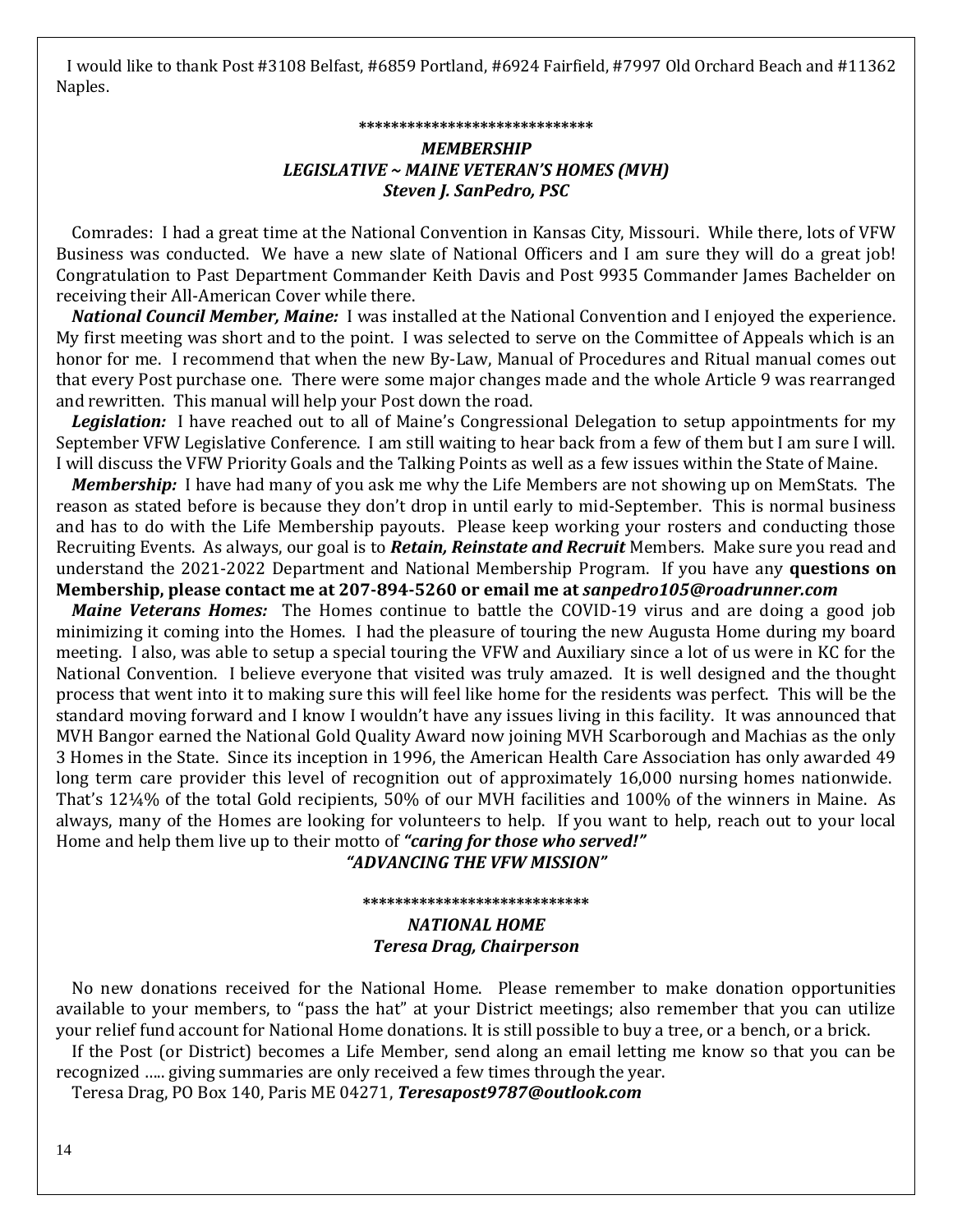I would like to thank Post #3108 Belfast, #6859 Portland, #6924 Fairfield, #7997 Old Orchard Beach and #11362 Naples.

#### **\*\*\*\*\*\*\*\*\*\*\*\*\*\*\*\*\*\*\*\*\*\*\*\*\*\*\*\*\***

### *MEMBERSHIP LEGISLATIVE ~ MAINE VETERAN'S HOMES (MVH) Steven J. SanPedro, PSC*

 Comrades: I had a great time at the National Convention in Kansas City, Missouri. While there, lots of VFW Business was conducted. We have a new slate of National Officers and I am sure they will do a great job! Congratulation to Past Department Commander Keith Davis and Post 9935 Commander James Bachelder on receiving their All-American Cover while there.

*National Council Member, Maine:*I was installed at the National Convention and I enjoyed the experience. My first meeting was short and to the point. I was selected to serve on the Committee of Appeals which is an honor for me. I recommend that when the new By-Law, Manual of Procedures and Ritual manual comes out that every Post purchase one. There were some major changes made and the whole Article 9 was rearranged and rewritten. This manual will help your Post down the road.

*Legislation:*I have reached out to all of Maine's Congressional Delegation to setup appointments for my September VFW Legislative Conference. I am still waiting to hear back from a few of them but I am sure I will. I will discuss the VFW Priority Goals and the Talking Points as well as a few issues within the State of Maine.

 *Membership:* I have had many of you ask me why the Life Members are not showing up on MemStats. The reason as stated before is because they don't drop in until early to mid-September. This is normal business and has to do with the Life Membership payouts. Please keep working your rosters and conducting those Recruiting Events. As always, our goal is to *Retain, Reinstate and Recruit* Members. Make sure you read and understand the 2021-2022 Department and National Membership Program. If you have any **questions on Membership, please contact me at 207-894-5260 or email me at** *sanpedro105@roadrunner.com*

*Maine Veterans Homes:* The Homes continue to battle the COVID-19 virus and are doing a good job minimizing it coming into the Homes. I had the pleasure of touring the new Augusta Home during my board meeting. I also, was able to setup a special touring the VFW and Auxiliary since a lot of us were in KC for the National Convention. I believe everyone that visited was truly amazed. It is well designed and the thought process that went into it to making sure this will feel like home for the residents was perfect. This will be the standard moving forward and I know I wouldn't have any issues living in this facility. It was announced that MVH Bangor earned the National Gold Quality Award now joining MVH Scarborough and Machias as the only 3 Homes in the State. Since its inception in 1996, the American Health Care Association has only awarded 49 long term care provider this level of recognition out of approximately 16,000 nursing homes nationwide. That's 12¼% of the total Gold recipients, 50% of our MVH facilities and 100% of the winners in Maine. As always, many of the Homes are looking for volunteers to help. If you want to help, reach out to your local Home and help them live up to their motto of *"caring for those who served!"*

*"ADVANCING THE VFW MISSION"*

### **\*\*\*\*\*\*\*\*\*\*\*\*\*\*\*\*\*\*\*\*\*\*\*\*\*\*\*\*** *NATIONAL HOME Teresa Drag, Chairperson*

 No new donations received for the National Home. Please remember to make donation opportunities available to your members, to "pass the hat" at your District meetings; also remember that you can utilize your relief fund account for National Home donations. It is still possible to buy a tree, or a bench, or a brick.

 If the Post (or District) becomes a Life Member, send along an email letting me know so that you can be recognized ….. giving summaries are only received a few times through the year.

Teresa Drag, PO Box 140, Paris ME 04271, *[Teresapost9787@outlook.com](mailto:Teresapost9787@outlook.com)*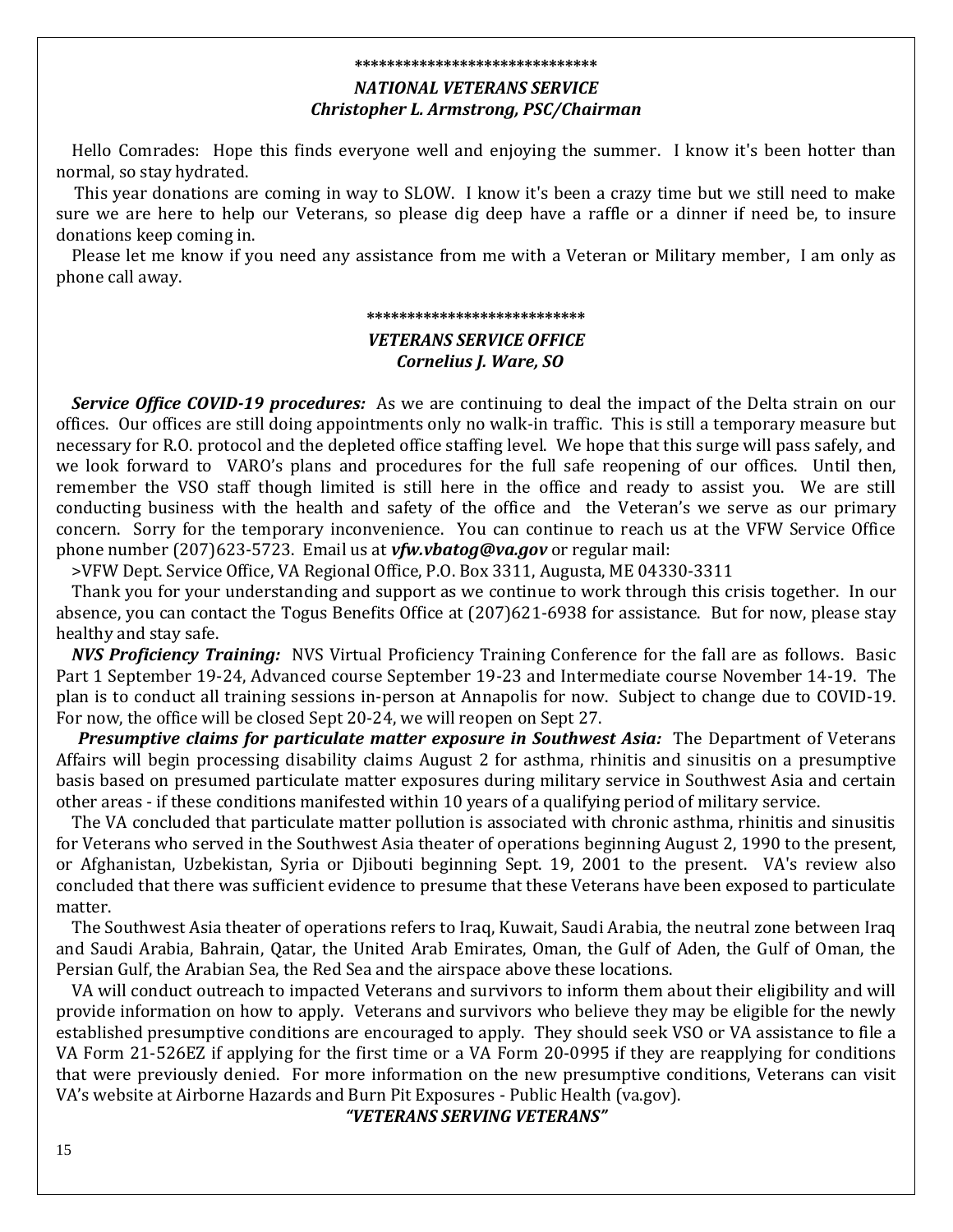#### **\*\*\*\*\*\*\*\*\*\*\*\*\*\*\*\*\*\*\*\*\*\*\*\*\*\*\*\*\*\***

### *NATIONAL VETERANS SERVICE*

#### *Christopher L. Armstrong, PSC/Chairman*

 Hello Comrades: Hope this finds everyone well and enjoying the summer. I know it's been hotter than normal, so stay hydrated.

This year donations are coming in way to SLOW. I know it's been a crazy time but we still need to make sure we are here to help our Veterans, so please dig deep have a raffle or a dinner if need be, to insure donations keep coming in.

 Please let me know if you need any assistance from me with a Veteran or Military member, I am only as phone call away.

#### **\*\*\*\*\*\*\*\*\*\*\*\*\*\*\*\*\*\*\*\*\*\*\*\*\*\*\***

### *VETERANS SERVICE OFFICE Cornelius J. Ware, SO*

 *Service Office COVID-19 procedures:* As we are continuing to deal the impact of the Delta strain on our offices. Our offices are still doing appointments only no walk-in traffic. This is still a temporary measure but necessary for R.O. protocol and the depleted office staffing level. We hope that this surge will pass safely, and we look forward to VARO's plans and procedures for the full safe reopening of our offices. Until then, remember the VSO staff though limited is still here in the office and ready to assist you. We are still conducting business with the health and safety of the office and the Veteran's we serve as our primary concern. Sorry for the temporary inconvenience. You can continue to reach us at the VFW Service Office phone number (207)623-5723. Email us at *[vfw.vbatog@va.gov](mailto:vfw.vbatog@va.gov)* or regular mail:

>VFW Dept. Service Office, VA Regional Office, P.O. Box 3311, Augusta, ME 04330-3311

 Thank you for your understanding and support as we continue to work through this crisis together. In our absence, you can contact the Togus Benefits Office at (207)621-6938 for assistance. But for now, please stay healthy and stay safe.

*NVS Proficiency Training:*NVS Virtual Proficiency Training Conference for the fall are as follows. Basic Part 1 September 19-24, Advanced course September 19-23 and Intermediate course November 14-19. The plan is to conduct all training sessions in-person at Annapolis for now. Subject to change due to COVID-19. For now, the office will be closed Sept 20-24, we will reopen on Sept 27.

 *Presumptive claims for particulate matter exposure in Southwest Asia:*The Department of Veterans Affairs will begin processing disability claims August 2 for asthma, rhinitis and sinusitis on a presumptive basis based on presumed particulate matter exposures during military service in Southwest Asia and certain other areas - if these conditions manifested within 10 years of a qualifying period of military service.

 The VA concluded that particulate matter pollution is associated with chronic asthma, rhinitis and sinusitis for Veterans who served in the Southwest Asia theater of operations beginning August 2, 1990 to the present, or Afghanistan, Uzbekistan, Syria or Djibouti beginning Sept. 19, 2001 to the present. VA's review also concluded that there was sufficient evidence to presume that these Veterans have been exposed to particulate matter.

 The Southwest Asia theater of operations refers to Iraq, Kuwait, Saudi Arabia, the neutral zone between Iraq and Saudi Arabia, Bahrain, Qatar, the United Arab Emirates, Oman, the Gulf of Aden, the Gulf of Oman, the Persian Gulf, the Arabian Sea, the Red Sea and the airspace above these locations.

 VA will conduct outreach to impacted Veterans and survivors to inform them about their eligibility and will provide information on how to apply. Veterans and survivors who believe they may be eligible for the newly established presumptive conditions are encouraged to apply. They should seek VSO or VA assistance to file a VA Form 21-526EZ if applying for the first time or a VA Form 20-0995 if they are reapplying for conditions that were previously denied. For more information on the new presumptive conditions, Veterans can visit VA's website at Airborne Hazards and Burn Pit Exposures - Public Health (va.gov).

*"VETERANS SERVING VETERANS"*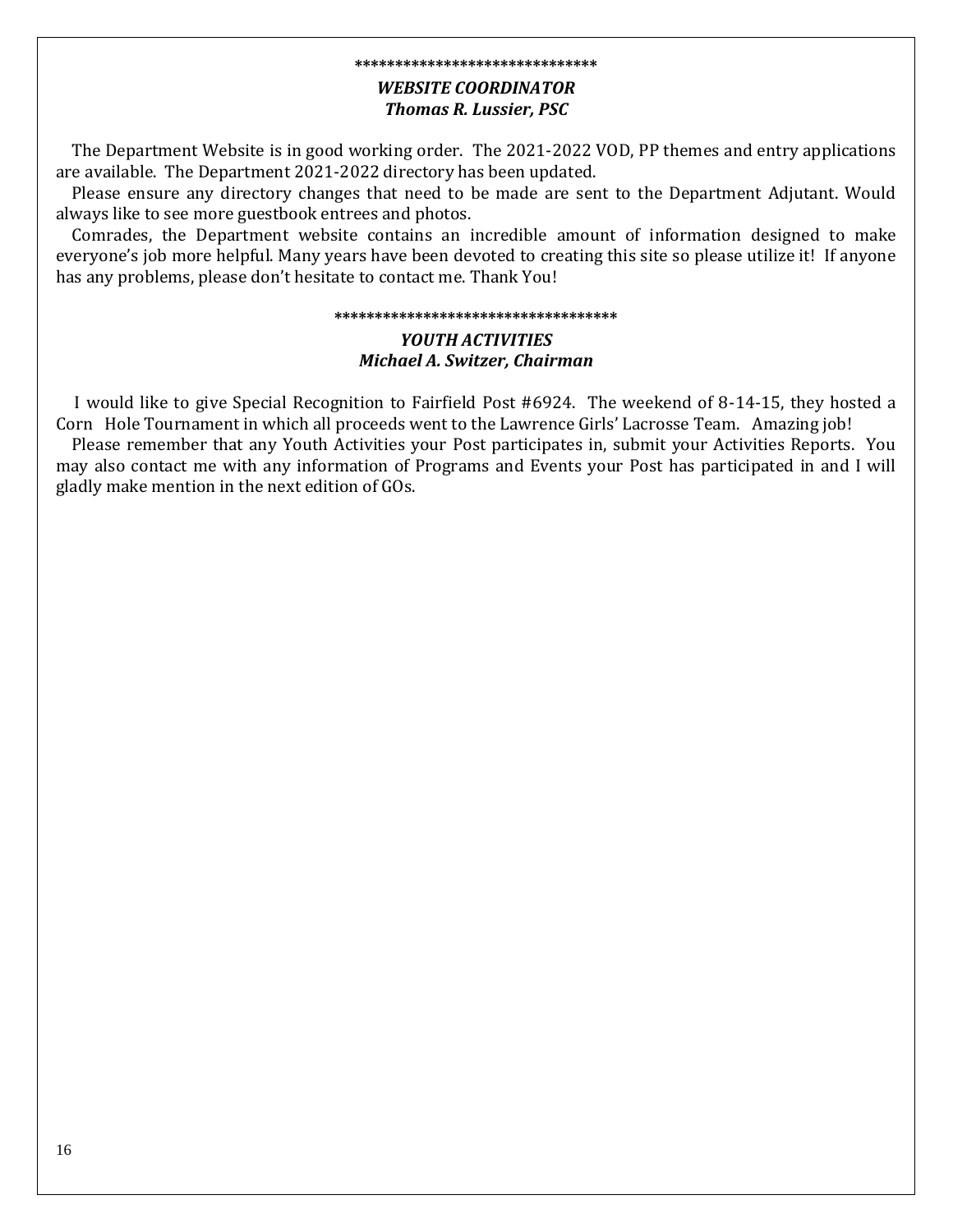#### **\*\*\*\*\*\*\*\*\*\*\*\*\*\*\*\*\*\*\*\*\*\*\*\*\*\*\*\*\*\***

### *WEBSITE COORDINATOR Thomas R. Lussier, PSC*

 The Department Website is in good working order. The 2021-2022 VOD, PP themes and entry applications are available. The Department 2021-2022 directory has been updated.

 Please ensure any directory changes that need to be made are sent to the Department Adjutant. Would always like to see more guestbook entrees and photos.

 Comrades, the Department website contains an incredible amount of information designed to make everyone's job more helpful. Many years have been devoted to creating this site so please utilize it! If anyone has any problems, please don't hesitate to contact me. Thank You!

#### **\*\*\*\*\*\*\*\*\*\*\*\*\*\*\*\*\*\*\*\*\*\*\*\*\*\*\*\*\*\*\*\*\*\*\***

### *YOUTH ACTIVITIES Michael A. Switzer, Chairman*

 I would like to give Special Recognition to Fairfield Post #6924. The weekend of 8-14-15, they hosted a Corn Hole Tournament in which all proceeds went to the Lawrence Girls' Lacrosse Team. Amazing job!

 Please remember that any Youth Activities your Post participates in, submit your Activities Reports. You may also contact me with any information of Programs and Events your Post has participated in and I will gladly make mention in the next edition of GOs.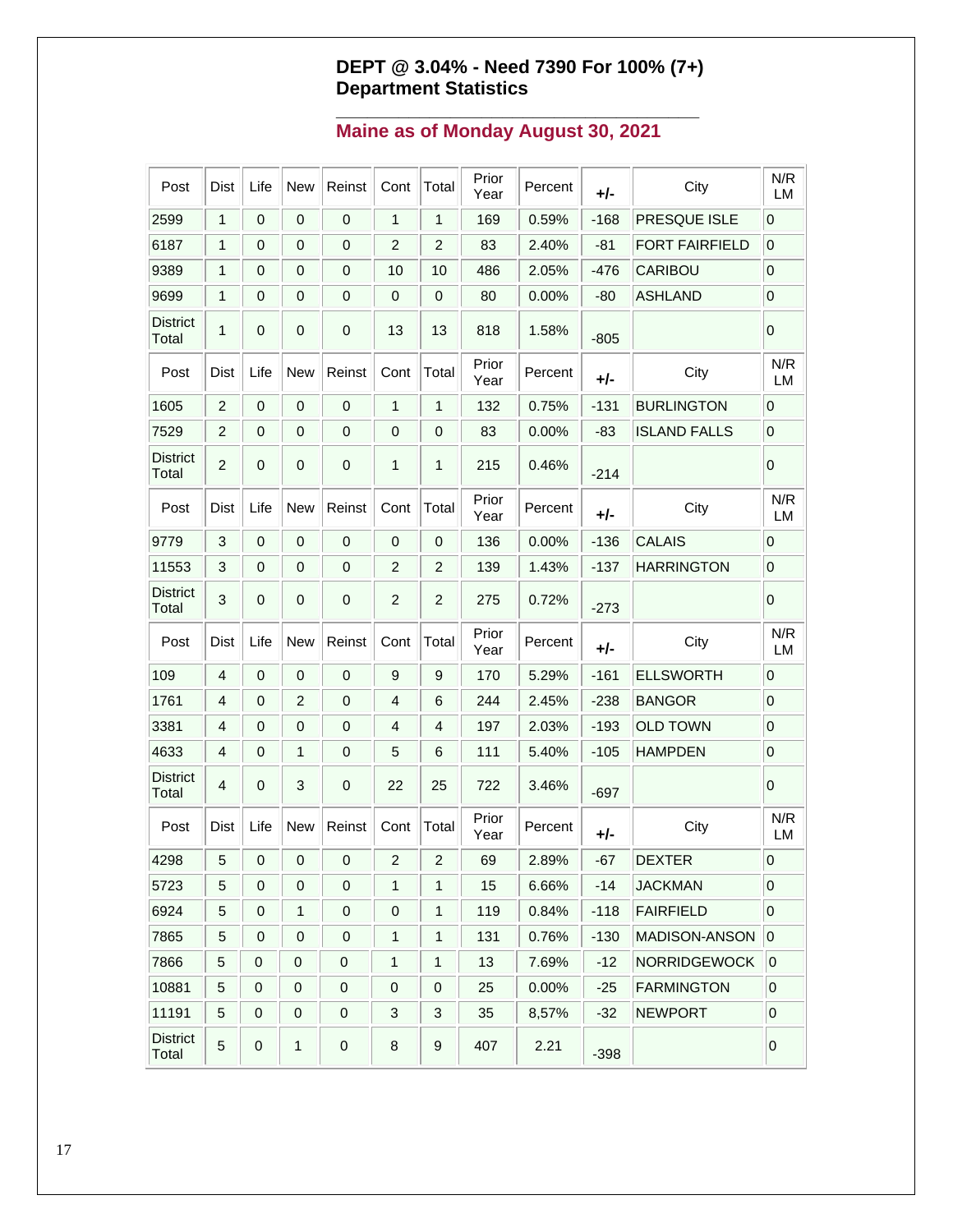### **DEPT @ 3.04% - Need 7390 For 100% (7+) Department Statistics**

**\_\_\_\_\_\_\_\_\_\_\_\_\_\_\_\_\_\_\_\_\_\_\_\_\_\_\_\_\_\_\_\_\_\_\_**

### **Maine as of Monday August 30, 2021**

| Post                     | <b>Dist</b>    | Life           | <b>New</b>       | Reinst      | Cont                    | Total          | Prior<br>Year | Percent | +/-    | City                  | N/R<br><b>LM</b> |
|--------------------------|----------------|----------------|------------------|-------------|-------------------------|----------------|---------------|---------|--------|-----------------------|------------------|
| 2599                     | 1              | 0              | 0                | 0           | 1                       | 1              | 169           | 0.59%   | $-168$ | PRESQUE ISLE          | 0                |
| 6187                     | 1              | 0              | 0                | 0           | $\overline{2}$          | $\overline{2}$ | 83            | 2.40%   | $-81$  | <b>FORT FAIRFIELD</b> | $\mathbf 0$      |
| 9389                     | 1              | 0              | 0                | 0           | 10                      | 10             | 486           | 2.05%   | $-476$ | CARIBOU               | $\mathbf 0$      |
| 9699                     | 1              | 0              | 0                | 0           | 0                       | 0              | 80            | 0.00%   | $-80$  | <b>ASHLAND</b>        | $\mathbf 0$      |
| <b>District</b><br>Total | 1              | 0              | 0                | 0           | 13                      | 13             | 818           | 1.58%   | $-805$ |                       | 0                |
| Post                     | <b>Dist</b>    | Life           | New              | Reinst      | Cont                    | Total          | Prior<br>Year | Percent | +/-    | City                  | N/R<br>LM        |
| 1605                     | $\overline{c}$ | $\mathbf 0$    | $\mathbf 0$      | 0           | 1                       | 1              | 132           | 0.75%   | $-131$ | <b>BURLINGTON</b>     | 0                |
| 7529                     | 2              | 0              | $\mathbf 0$      | 0           | 0                       | 0              | 83            | 0.00%   | $-83$  | <b>ISLAND FALLS</b>   | $\mathbf 0$      |
| <b>District</b><br>Total | 2              | $\mathbf{0}$   | $\mathbf 0$      | 0           | 1                       | 1              | 215           | 0.46%   | $-214$ |                       | 0                |
| Post                     | <b>Dist</b>    | Life           | New              | Reinst      | Cont                    | Total          | Prior<br>Year | Percent | +/-    | City                  | N/R<br><b>LM</b> |
| 9779                     | 3              | $\pmb{0}$      | $\mathbf 0$      | $\pmb{0}$   | 0                       | 0              | 136           | 0.00%   | $-136$ | <b>CALAIS</b>         | 0                |
| 11553                    | 3              | 0              | 0                | 0           | $\overline{2}$          | $\overline{c}$ | 139           | 1.43%   | $-137$ | <b>HARRINGTON</b>     | $\mathbf 0$      |
| <b>District</b><br>Total | 3              | $\mathbf{0}$   | 0                | 0           | $\overline{2}$          | $\overline{2}$ | 275           | 0.72%   | $-273$ |                       | 0                |
| Post                     | Dist           | Life           | New              | Reinst      | Cont                    | Total          | Prior<br>Year | Percent | +/-    | City                  | N/R<br>LM        |
| 109                      | 4              | $\pmb{0}$      | 0                | 0           | 9                       | 9              | 170           | 5.29%   | $-161$ | <b>ELLSWORTH</b>      | 0                |
| 1761                     | 4              | 0              | $\overline{2}$   | 0           | 4                       | 6              | 244           | 2.45%   | $-238$ | <b>BANGOR</b>         | $\boldsymbol{0}$ |
| 3381                     | 4              | 0              | 0                | 0           | 4                       | 4              | 197           | 2.03%   | $-193$ | <b>OLD TOWN</b>       | $\mathbf 0$      |
| 4633                     | 4              | 0              | 1                | 0           | 5                       | 6              | 111           | 5.40%   | $-105$ | <b>HAMPDEN</b>        | $\mathbf 0$      |
| <b>District</b><br>Total | 4              | 0              | 3                | 0           | 22                      | 25             | 722           | 3.46%   | $-697$ |                       | 0                |
| Post                     | <b>Dist</b>    | Life           | New              | Reinst      | Cont                    | Total          | Prior<br>Year | Percent | +/-    | City                  | N/R<br>LM        |
| 4298                     | 5 <sub>5</sub> | $\overline{0}$ | $\overline{0}$   | $\mathbf 0$ | $\overline{\mathbf{c}}$ | $\overline{a}$ | 69            | 2.89%   | $-67$  | <b>DEXTER</b>         | $\mathbf 0$      |
| 5723                     | 5              | $\mathbf 0$    | $\boldsymbol{0}$ | 0           | 1                       | 1              | 15            | 6.66%   | $-14$  | <b>JACKMAN</b>        | $\mathbf 0$      |
| 6924                     | 5              | 0              | 1                | 0           | 0                       | 1              | 119           | 0.84%   | $-118$ | <b>FAIRFIELD</b>      | $\mathbf 0$      |
| 7865                     | 5              | 0              | $\boldsymbol{0}$ | 0           | 1                       | $\mathbf{1}$   | 131           | 0.76%   | $-130$ | MADISON-ANSON         | $ 0\rangle$      |
| 7866                     | 5              | $\pmb{0}$      | $\pmb{0}$        | 0           | 1                       | $\mathbf{1}$   | 13            | 7.69%   | $-12$  | <b>NORRIDGEWOCK</b>   | 0                |
| 10881                    | 5              | $\pmb{0}$      | $\pmb{0}$        | 0           | 0                       | $\pmb{0}$      | 25            | 0.00%   | $-25$  | <b>FARMINGTON</b>     | $\pmb{0}$        |
| 11191                    | 5              | 0              | $\boldsymbol{0}$ | 0           | 3                       | 3              | 35            | 8,57%   | $-32$  | <b>NEWPORT</b>        | $\boldsymbol{0}$ |
| <b>District</b><br>Total | 5              | $\pmb{0}$      | 1                | 0           | 8                       | 9              | 407           | 2.21    | $-398$ |                       | 0                |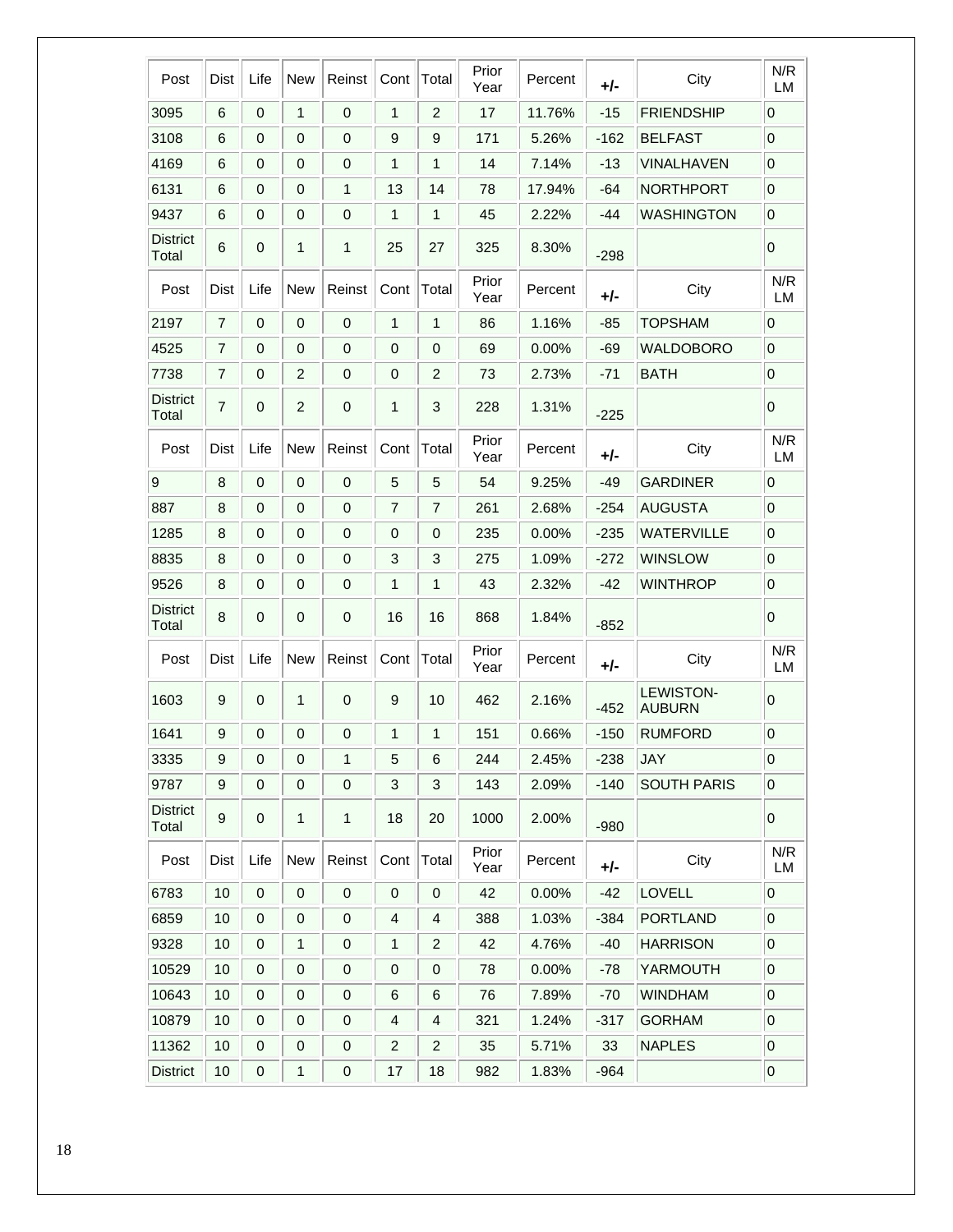| Post                     | Dist             | Life             | <b>New</b>     | Reinst           | Cont           | Total                     | Prior<br>Year | Percent | +/-    | City                              | N/R<br>LM        |
|--------------------------|------------------|------------------|----------------|------------------|----------------|---------------------------|---------------|---------|--------|-----------------------------------|------------------|
| 3095                     | $\,6$            | $\mathbf 0$      | 1              | $\mathbf 0$      | 1              | $\overline{c}$            | 17            | 11.76%  | $-15$  | <b>FRIENDSHIP</b>                 | 0                |
| 3108                     | 6                | 0                | 0              | $\mathbf 0$      | 9              | 9                         | 171           | 5.26%   | $-162$ | <b>BELFAST</b>                    | $\mathbf 0$      |
| 4169                     | 6                | 0                | 0              | $\mathbf 0$      | 1              | 1                         | 14            | 7.14%   | $-13$  | VINALHAVEN                        | $\boldsymbol{0}$ |
| 6131                     | 6                | 0                | $\mathbf 0$    | 1                | 13             | 14                        | 78            | 17.94%  | -64    | <b>NORTHPORT</b>                  | $\overline{0}$   |
| 9437                     | 6                | $\mathbf 0$      | $\mathbf 0$    | $\mathbf 0$      | 1              | $\mathbf{1}$              | 45            | 2.22%   | -44    | <b>WASHINGTON</b>                 | $\mathbf 0$      |
| <b>District</b><br>Total | 6                | 0                | 1              | 1                | 25             | 27                        | 325           | 8.30%   | $-298$ |                                   | 0                |
| Post                     | Dist             | Life             | <b>New</b>     | Reinst           | Cont           | Total                     | Prior<br>Year | Percent | +/-    | City                              | N/R<br>LM        |
| 2197                     | $\overline{7}$   | 0                | 0              | $\mathbf 0$      | 1              | $\mathbf 1$               | 86            | 1.16%   | $-85$  | <b>TOPSHAM</b>                    | $\mathbf 0$      |
| 4525                     | $\overline{7}$   | 0                | 0              | 0                | 0              | $\mathbf 0$               | 69            | 0.00%   | -69    | <b>WALDOBORO</b>                  | $\pmb{0}$        |
| 7738                     | $\overline{7}$   | 0                | $\overline{c}$ | 0                | 0              | $\overline{2}$            | 73            | 2.73%   | $-71$  | <b>BATH</b>                       | $\boldsymbol{0}$ |
| <b>District</b><br>Total | 7                | 0                | $\overline{2}$ | $\mathbf 0$      | 1              | 3                         | 228           | 1.31%   | $-225$ |                                   | 0                |
| Post                     | Dist             | Life             | <b>New</b>     | Reinst           | Cont           | Total                     | Prior<br>Year | Percent | +/-    | City                              | N/R<br>LM        |
| 9                        | 8                | $\mathbf 0$      | 0              | $\pmb{0}$        | 5              | 5                         | 54            | 9.25%   | $-49$  | <b>GARDINER</b>                   | $\mathbf 0$      |
| 887                      | 8                | 0                | $\mathbf 0$    | 0                | $\overline{7}$ | $\overline{7}$            | 261           | 2.68%   | $-254$ | <b>AUGUSTA</b>                    | $\mathbf 0$      |
| 1285                     | 8                | $\mathbf 0$      | $\mathbf 0$    | $\mathbf 0$      | 0              | $\mathbf 0$               | 235           | 0.00%   | $-235$ | <b>WATERVILLE</b>                 | $\overline{0}$   |
| 8835                     | 8                | 0                | 0              | 0                | 3              | 3                         | 275           | 1.09%   | $-272$ | <b>WINSLOW</b>                    | 0                |
| 9526                     | 8                | $\mathbf 0$      | $\mathbf 0$    | $\mathbf 0$      | 1              | 1                         | 43            | 2.32%   | $-42$  | <b>WINTHROP</b>                   | $\overline{0}$   |
| <b>District</b><br>Total | 8                | $\mathbf 0$      | 0              | $\mathbf 0$      | 16             | 16                        | 868           | 1.84%   | $-852$ |                                   | $\mathbf 0$      |
| Post                     | Dist             | Life             | New            | Reinst           | Cont           | Total                     | Prior<br>Year | Percent | +/-    | City                              | N/R<br>LМ        |
| 1603                     | 9                | 0                | 1              | 0                | 9              | 10                        | 462           | 2.16%   | $-452$ | <b>LEWISTON-</b><br><b>AUBURN</b> | 0                |
| 1641                     | 9                | 0                | 0              | 0                | 1              | 1                         | 151           | 0.66%   | $-150$ | <b>RUMFORD</b>                    | $\overline{0}$   |
| 3335                     | 9                | 0                | 0              | 1                | 5              | 6                         | 244           | 2.45%   | $-238$ | <b>JAY</b>                        | $\overline{0}$   |
| 9787                     | $\boldsymbol{9}$ | $\pmb{0}$        | $\pmb{0}$      | $\pmb{0}$        | 3              | $\ensuremath{\mathsf{3}}$ | 143           | 2.09%   | $-140$ | <b>SOUTH PARIS</b>                | $\overline{0}$   |
| <b>District</b><br>Total | 9                | 0                | 1              | $\mathbf{1}$     | 18             | 20                        | 1000          | 2.00%   | $-980$ |                                   | $\pmb{0}$        |
| Post                     | Dist             | Life             | <b>New</b>     | Reinst           | Cont           | Total                     | Prior<br>Year | Percent | +/-    | City                              | N/R<br>LM        |
| 6783                     | 10               | 0                | 0              | $\pmb{0}$        | $\mathbf 0$    | $\pmb{0}$                 | 42            | 0.00%   | $-42$  | LOVELL                            | $\mathbf 0$      |
| 6859                     | 10               | 0                | 0              | $\mathbf 0$      | 4              | 4                         | 388           | 1.03%   | -384   | <b>PORTLAND</b>                   | $\overline{0}$   |
| 9328                     | 10               | $\pmb{0}$        | 1              | $\pmb{0}$        | 1              | $\overline{c}$            | 42            | 4.76%   | $-40$  | <b>HARRISON</b>                   | $\overline{0}$   |
| 10529                    | 10               | $\mathbf 0$      | $\mathbf 0$    | $\boldsymbol{0}$ | $\mathbf 0$    | $\pmb{0}$                 | 78            | 0.00%   | -78    | YARMOUTH                          | $\overline{0}$   |
| 10643                    | 10               | 0                | 0              | $\pmb{0}$        | 6              | 6                         | 76            | 7.89%   | $-70$  | <b>WINDHAM</b>                    | $\overline{0}$   |
| 10879                    | 10               | 0                | 0              | $\mathbf 0$      | 4              | $\overline{4}$            | 321           | 1.24%   | $-317$ | <b>GORHAM</b>                     | $\overline{0}$   |
| 11362                    | 10               | $\mathbf 0$      | $\mathbf 0$    | $\pmb{0}$        | $\overline{c}$ | $\overline{c}$            | 35            | 5.71%   | 33     | <b>NAPLES</b>                     | $\overline{0}$   |
| <b>District</b>          | 10               | $\boldsymbol{0}$ | 1              | $\mathbf 0$      | 17             | 18                        | 982           | 1.83%   | $-964$ |                                   | $\overline{0}$   |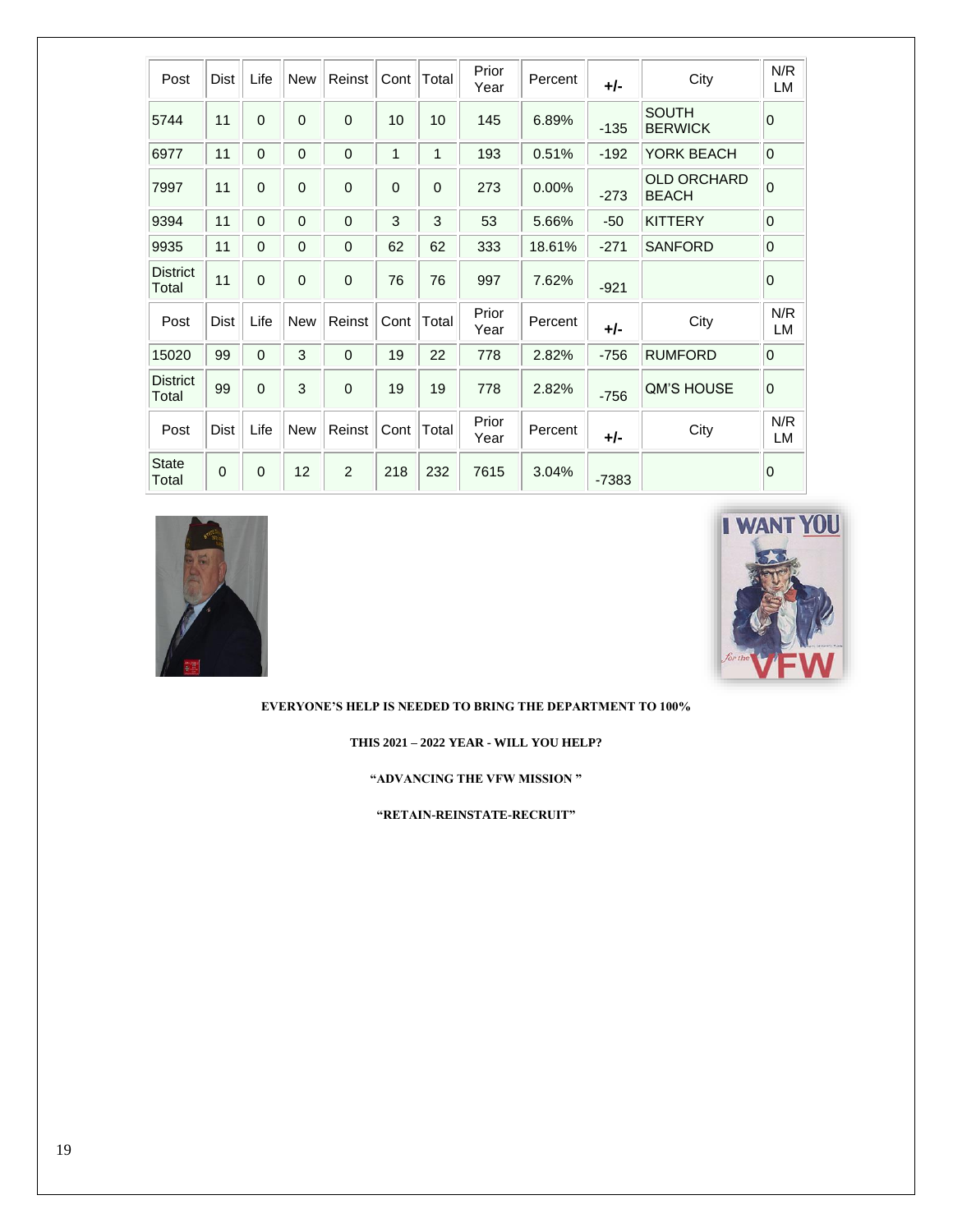| Post                     | Dist        | Life        | <b>New</b>  | Reinst      | Cont         | Total    | Prior<br>Year | Percent  | $+/-$   | City                               | N/R<br>LM        |  |
|--------------------------|-------------|-------------|-------------|-------------|--------------|----------|---------------|----------|---------|------------------------------------|------------------|--|
| 5744                     | 11          | $\Omega$    | $\Omega$    | $\mathbf 0$ | 10           | 10       | 145           | 6.89%    | $-135$  | <b>SOUTH</b><br><b>BERWICK</b>     | $\mathbf 0$      |  |
| 6977                     | 11          | 0           | $\mathbf 0$ | $\mathbf 0$ | 1            | 1        | 193           | 0.51%    | $-192$  | YORK BEACH                         | $\mathbf 0$      |  |
| 7997                     | 11          | $\Omega$    | $\Omega$    | $\mathbf 0$ | $\mathbf 0$  | $\Omega$ | 273           | $0.00\%$ | $-273$  | <b>OLD ORCHARD</b><br><b>BEACH</b> | $\overline{0}$   |  |
| 9394                     | 11          | $\Omega$    | $\Omega$    | $\Omega$    | $\mathbf{3}$ | 3        | 53            | 5.66%    | $-50$   | <b>KITTERY</b>                     | $\boldsymbol{0}$ |  |
| 9935                     | 11          | $\mathbf 0$ | 0           | $\mathbf 0$ | 62           | 62       | 333           | 18.61%   | $-271$  | <b>SANFORD</b>                     | $\mathbf 0$      |  |
| <b>District</b><br>Total | 11          | $\Omega$    | $\Omega$    | $\mathbf 0$ | 76           | 76       | 997           | 7.62%    | $-921$  |                                    | $\mathbf 0$      |  |
| Post                     | <b>Dist</b> | Life        | <b>New</b>  | Reinst      | Cont         | Total    | Prior<br>Year | Percent  | $+/-$   | City                               | N/R<br>LM        |  |
| 15020                    | 99          | $\Omega$    | 3           | $\mathbf 0$ | 19           | 22       | 778           | 2.82%    | $-756$  | <b>RUMFORD</b>                     | $\mathbf 0$      |  |
| <b>District</b><br>Total | 99          | $\mathbf 0$ | 3           | $\mathbf 0$ | 19           | 19       | 778           | 2.82%    | $-756$  | <b>QM'S HOUSE</b>                  | 0                |  |
| Post                     | Dist        | Life        | <b>New</b>  | Reinst      | Cont         | Total    | Prior<br>Year | Percent  | $+/-$   | City                               | N/R<br>LM        |  |
| <b>State</b><br>Total    | $\mathbf 0$ | $\mathbf 0$ | 12          | 2           | 218          | 232      | 7615          | 3.04%    | $-7383$ |                                    | $\mathbf 0$      |  |





**EVERYONE'S HELP IS NEEDED TO BRING THE DEPARTMENT TO 100%**

**THIS 2021 – 2022 YEAR - WILL YOU HELP?**

**"ADVANCING THE VFW MISSION "** 

**"RETAIN-REINSTATE-RECRUIT"**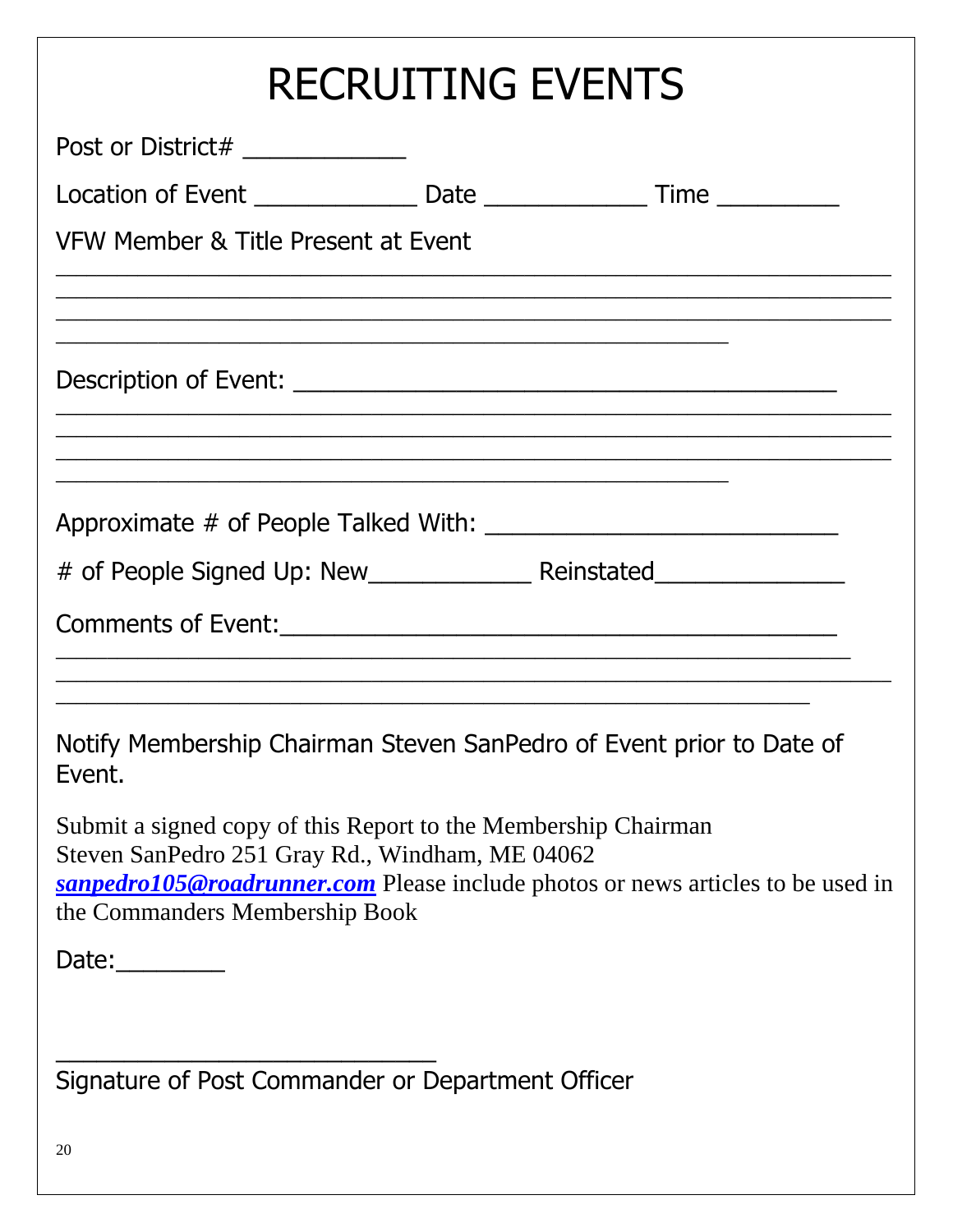| <b>RECRUITING EVENTS</b>                                                                                                                                                                                                               |
|----------------------------------------------------------------------------------------------------------------------------------------------------------------------------------------------------------------------------------------|
| Post or District# _____________                                                                                                                                                                                                        |
| Location of Event _________________________Date ________________________________                                                                                                                                                       |
| VFW Member & Title Present at Event                                                                                                                                                                                                    |
| <u> 1989 - Johann Stoff, amerikansk politiker (d. 1989)</u>                                                                                                                                                                            |
|                                                                                                                                                                                                                                        |
|                                                                                                                                                                                                                                        |
|                                                                                                                                                                                                                                        |
| <u> 1989 - Johann Stoff, amerikansk politiker (d. 1989)</u><br>Notify Membership Chairman Steven SanPedro of Event prior to Date of<br>Event.                                                                                          |
| Submit a signed copy of this Report to the Membership Chairman<br>Steven SanPedro 251 Gray Rd., Windham, ME 04062<br>sanpedro105@roadrunner.com Please include photos or news articles to be used in<br>the Commanders Membership Book |
| Date: $\_\_$                                                                                                                                                                                                                           |
| Signature of Post Commander or Department Officer                                                                                                                                                                                      |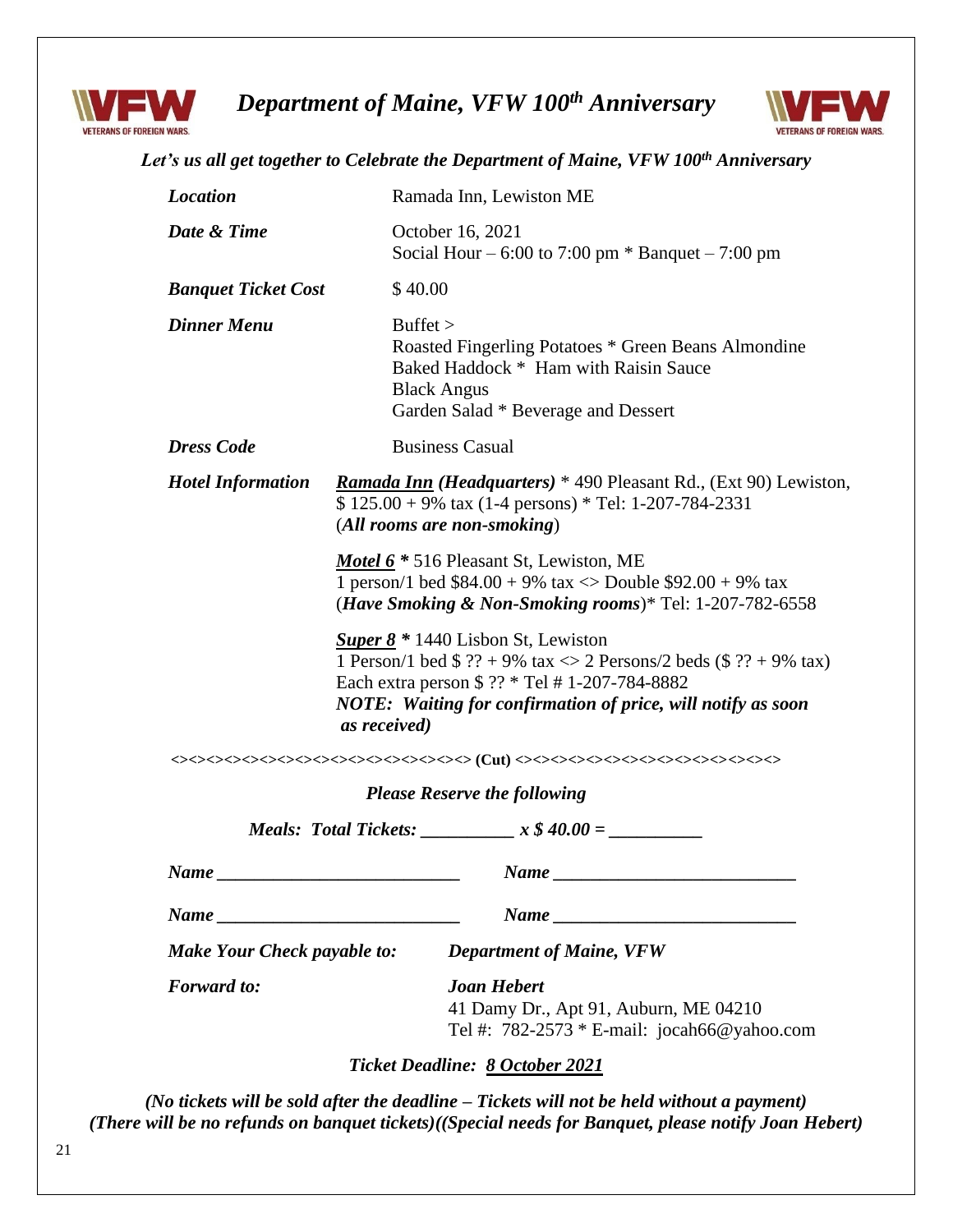

*Department of Maine, VFW 100th Anniversary*



| <b>Location</b>                                              |                                                                                                                                                                                                                                                               | Ramada Inn, Lewiston ME                                                                                                                                   |  |  |  |  |  |  |  |
|--------------------------------------------------------------|---------------------------------------------------------------------------------------------------------------------------------------------------------------------------------------------------------------------------------------------------------------|-----------------------------------------------------------------------------------------------------------------------------------------------------------|--|--|--|--|--|--|--|
| Date & Time                                                  |                                                                                                                                                                                                                                                               | October 16, 2021<br>Social Hour – 6:00 to 7:00 pm $*$ Banquet – 7:00 pm                                                                                   |  |  |  |  |  |  |  |
| <b>Banquet Ticket Cost</b>                                   | \$40.00                                                                                                                                                                                                                                                       |                                                                                                                                                           |  |  |  |  |  |  |  |
| <b>Dinner Menu</b>                                           | Buffer                                                                                                                                                                                                                                                        | Roasted Fingerling Potatoes * Green Beans Almondine<br>Baked Haddock * Ham with Raisin Sauce<br><b>Black Angus</b><br>Garden Salad * Beverage and Dessert |  |  |  |  |  |  |  |
| <b>Dress Code</b>                                            |                                                                                                                                                                                                                                                               | <b>Business Casual</b>                                                                                                                                    |  |  |  |  |  |  |  |
| <b>Hotel Information</b>                                     | <i>Ramada Inn</i> ( <i>Headquarters</i> ) * 490 Pleasant Rd., (Ext 90) Lewiston,<br>$$ 125.00 + 9\%$ tax (1-4 persons) * Tel: 1-207-784-2331<br>(All rooms are non-smoking)                                                                                   |                                                                                                                                                           |  |  |  |  |  |  |  |
|                                                              | Motel 6 * 516 Pleasant St, Lewiston, ME<br>1 person/1 bed $$84.00 + 9\%$ tax $\langle$ Double $$92.00 + 9\%$ tax<br>( <i>Have Smoking &amp; Non-Smoking rooms</i> )* Tel: $1-207-782-6558$                                                                    |                                                                                                                                                           |  |  |  |  |  |  |  |
|                                                              | <b>Super 8</b> $*$ 1440 Lisbon St, Lewiston<br>1 Person/1 bed \$ ?? + 9% tax $\ll$ 2 Persons/2 beds (\$ ?? + 9% tax)<br>Each extra person \$ ?? * Tel # 1-207-784-8882<br><b>NOTE: Waiting for confirmation of price, will notify as soon</b><br>as received) |                                                                                                                                                           |  |  |  |  |  |  |  |
|                                                              |                                                                                                                                                                                                                                                               |                                                                                                                                                           |  |  |  |  |  |  |  |
|                                                              |                                                                                                                                                                                                                                                               |                                                                                                                                                           |  |  |  |  |  |  |  |
|                                                              |                                                                                                                                                                                                                                                               | <b>Please Reserve the following</b>                                                                                                                       |  |  |  |  |  |  |  |
|                                                              | <b>Meals: Total Tickets:</b>                                                                                                                                                                                                                                  | $x $40.00 =$                                                                                                                                              |  |  |  |  |  |  |  |
|                                                              |                                                                                                                                                                                                                                                               | $Name \_$                                                                                                                                                 |  |  |  |  |  |  |  |
|                                                              |                                                                                                                                                                                                                                                               |                                                                                                                                                           |  |  |  |  |  |  |  |
| $Name \_$<br>$Name \_$<br><b>Make Your Check payable to:</b> |                                                                                                                                                                                                                                                               | <b>Department of Maine, VFW</b>                                                                                                                           |  |  |  |  |  |  |  |
| <b>Forward</b> to:                                           |                                                                                                                                                                                                                                                               | <b>Joan Hebert</b><br>41 Damy Dr., Apt 91, Auburn, ME 04210<br>Tel #: $782-2573 * E$ -mail: jocah66@yahoo.com                                             |  |  |  |  |  |  |  |

*(No tickets will be sold after the deadline – Tickets will not be held without a payment) (There will be no refunds on banquet tickets)((Special needs for Banquet, please notify Joan Hebert)*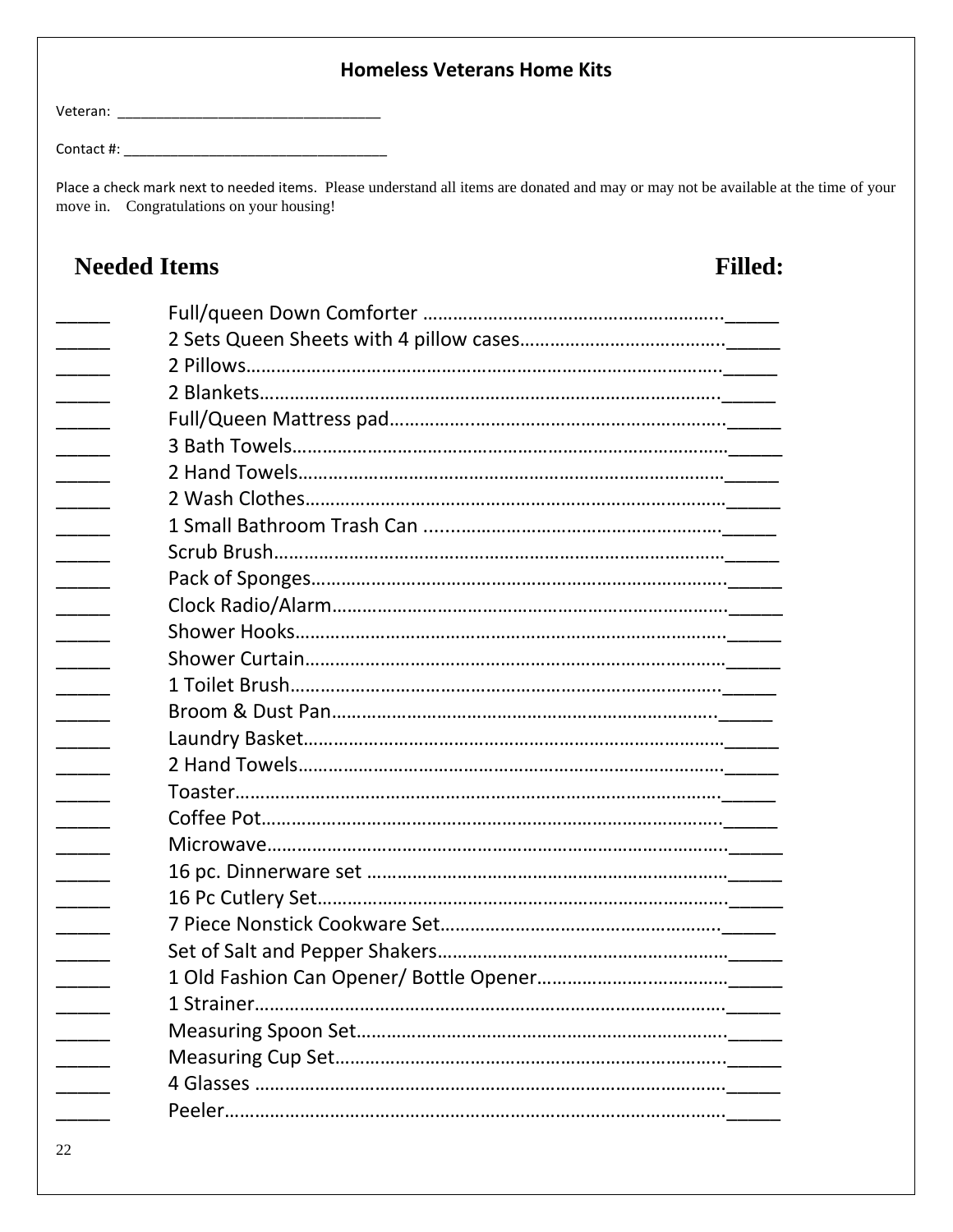### **Homeless Veterans Home Kits**

Veteran: \_\_\_\_\_\_\_\_\_\_\_\_\_\_\_\_\_\_\_\_\_\_\_\_\_\_\_\_\_\_\_\_\_\_

Contact #:  $\blacksquare$ 

Place a check mark next to needed items. Please understand all items are donated and may or may not be available at the time of your move in. Congratulations on your housing!

# **Needed Items Filled:**  \_\_\_\_\_ Full/queen Down Comforter …………………………………………………...\_\_\_\_\_ \_\_\_\_\_ 2 Sets Queen Sheets with 4 pillow cases…………………………………..\_\_\_\_\_ 2 Pillows……………………………………………………………………………<u>\_\_\_\_</u>\_\_ \_\_\_\_\_ 2 Blankets………………………………………………………………………………..\_\_\_\_\_ \_\_\_\_\_ Full/Queen Mattress pad……………..…………………………………………..\_\_\_\_\_ 3 Bath Towels……………………………………………………………………<sub>………</sub> \_\_\_\_\_ 2 Hand Towels……….…………………………………………………………………\_\_\_\_\_ 2 Wash Clothes………………………………………………………………<sub></sub> \_\_\_\_\_ 1 Small Bathroom Trash Can .......…………………………………………….\_\_\_\_\_ \_\_\_\_\_ Scrub Brush………………………………………………………………………………\_\_\_\_\_ \_\_\_\_\_ Pack of Sponges………………………………………………………………………..\_\_\_\_\_ \_\_\_\_\_ Clock Radio/Alarm…………………………………………………………………….\_\_\_\_\_ \_\_\_\_\_ Shower Hooks…………………………………………………………………………..\_\_\_\_\_ \_\_\_\_\_ Shower Curtain…………………………………………………………………………\_\_\_\_\_ 1 Toilet Brush…………………………………………………………………<sub></sub> \_\_\_\_\_ Broom & Dust Pan…………………………………………………………………..\_\_\_\_\_ \_\_\_\_\_ Laundry Basket…………………………………………………………………………\_\_\_\_\_ \_\_\_\_\_ 2 Hand Towels………………………………………………………………………….\_\_\_\_\_ \_\_\_\_\_ Toaster…………………………………………………………………………………….\_\_\_\_\_ \_\_\_\_\_ Coffee Pot………………………………………………………………………………..\_\_\_\_\_ \_\_\_\_\_\_ Microwave……………………………………………………………………<u>\_</u>\_\_\_\_ **EVIDEO 16 pc. Dinnerware set …………………………………………………** \_\_\_\_\_ 16 Pc Cutlery Set……………………………………………………………………….\_\_\_\_\_ \_\_\_\_\_ 7 Piece Nonstick Cookware Set………………………………………………..\_\_\_\_\_ Set of Salt and Pepper Shakers……………………………………………<sub>………</sub> 1 Old Fashion Can Opener/ Bottle Opener……………………………………… 1 Strainer………………………………………………………………………<sub>\_\_\_\_\_\_</sub> \_\_\_\_\_ Measuring Spoon Set………………………………………………………………..\_\_\_\_\_ \_\_\_\_\_ Measuring Cup Set…………………………………………………………………...\_\_\_\_\_ \_\_\_\_\_ 4 Glasses ………………………………………………………………………………….\_\_\_\_\_ \_\_\_\_\_ Peeler……………………………………………………………………………………….\_\_\_\_\_

22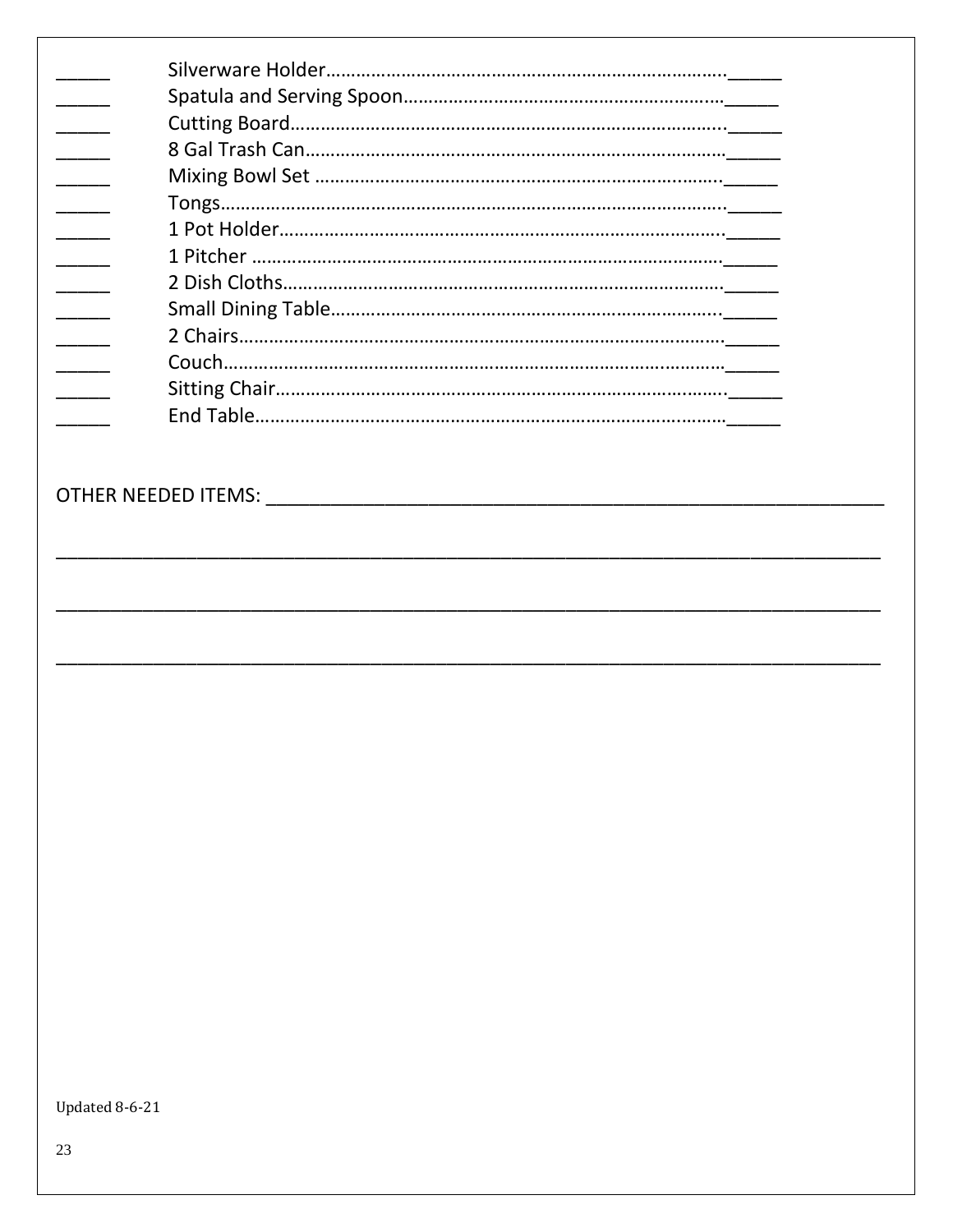Updated 8-6-21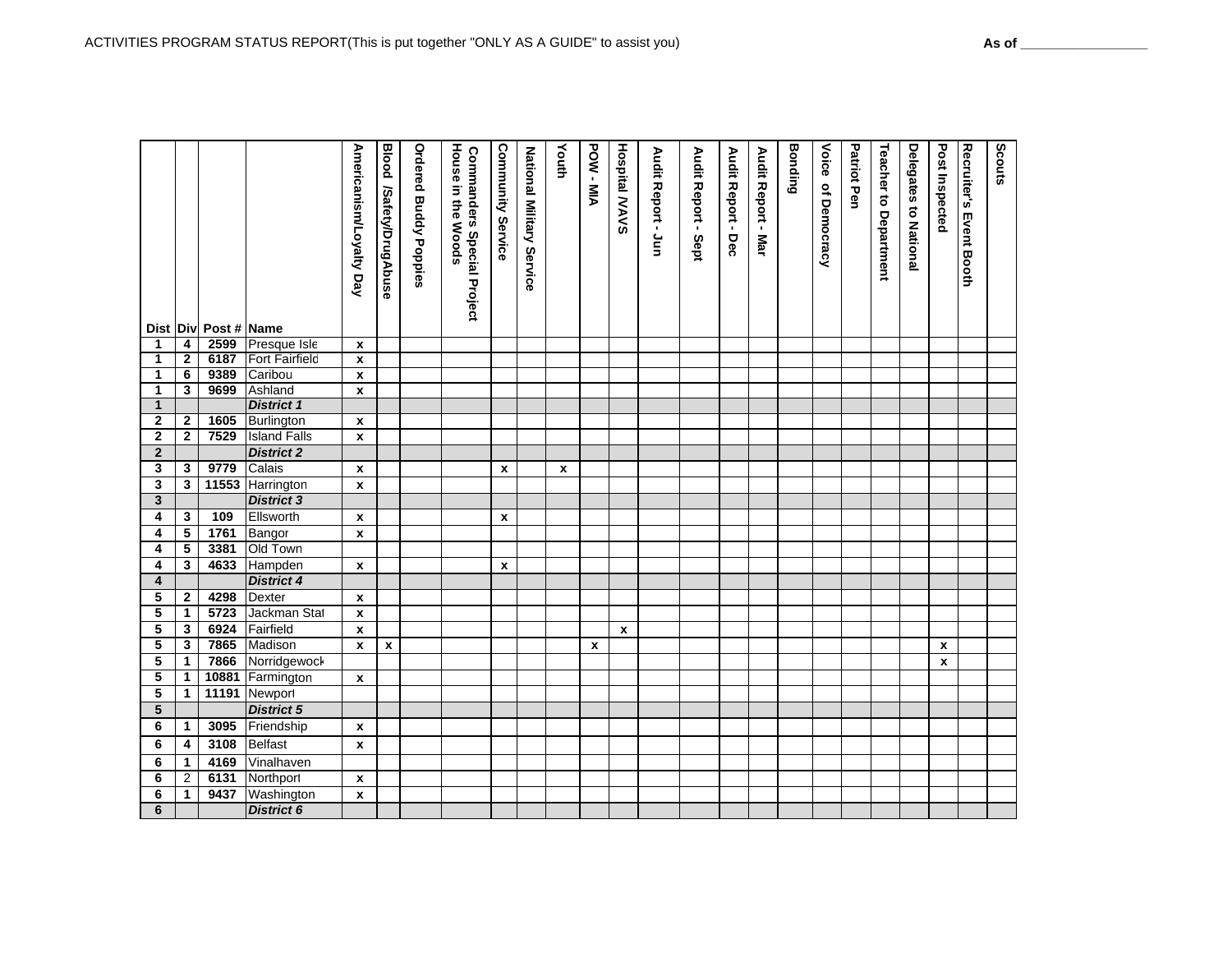|                              |                                         | Dist Div Post # Name |                                | Americanism/Loyalty Day | <b>Blood /Safety/DrugAbuse</b> | <b>Ordered Buddy Poppies</b> | House in the Woods<br><b>Commanders Special Project</b> | <b>Community Service</b> | National Military Service | Youth | POW-MIA | <b>Hospital MAVS</b> | Audit Report - Jun | Audit Report - Sept | Audit Report - Dec | Audit Report - Mar | <b>Bonding</b> | Voice of Democracy | Patriot Pen | <b>Teacher to Department</b> | <b>Delegates to National</b> | Post Inspected   | Recruiter's Event Booth | Scouts |
|------------------------------|-----------------------------------------|----------------------|--------------------------------|-------------------------|--------------------------------|------------------------------|---------------------------------------------------------|--------------------------|---------------------------|-------|---------|----------------------|--------------------|---------------------|--------------------|--------------------|----------------|--------------------|-------------|------------------------------|------------------------------|------------------|-------------------------|--------|
| 1                            | 4                                       |                      | 2599 Presque Isle              | $\mathbf x$             |                                |                              |                                                         |                          |                           |       |         |                      |                    |                     |                    |                    |                |                    |             |                              |                              |                  |                         |        |
| 1                            | $\overline{2}$                          |                      | 6187 Fort Fairfield            | X                       |                                |                              |                                                         |                          |                           |       |         |                      |                    |                     |                    |                    |                |                    |             |                              |                              |                  |                         |        |
| $\mathbf{1}$                 | $\overline{6}$                          | 9389                 | Caribou                        | $\pmb{\chi}$            |                                |                              |                                                         |                          |                           |       |         |                      |                    |                     |                    |                    |                |                    |             |                              |                              |                  |                         |        |
| 1                            | 3                                       |                      | 9699 Ashland                   | X                       |                                |                              |                                                         |                          |                           |       |         |                      |                    |                     |                    |                    |                |                    |             |                              |                              |                  |                         |        |
| $\mathbf{1}$                 |                                         |                      | <b>District 1</b>              |                         |                                |                              |                                                         |                          |                           |       |         |                      |                    |                     |                    |                    |                |                    |             |                              |                              |                  |                         |        |
| $\mathbf{2}$                 | $\mathbf{2}$                            |                      | 1605 Burlington                | $\mathbf x$             |                                |                              |                                                         |                          |                           |       |         |                      |                    |                     |                    |                    |                |                    |             |                              |                              |                  |                         |        |
| $\bf 2$                      | $\overline{2}$                          | 7529                 | <b>Island Falls</b>            | $\mathbf{x}$            |                                |                              |                                                         |                          |                           |       |         |                      |                    |                     |                    |                    |                |                    |             |                              |                              |                  |                         |        |
| $\overline{2}$               |                                         |                      | <b>District 2</b>              |                         |                                |                              |                                                         |                          |                           |       |         |                      |                    |                     |                    |                    |                |                    |             |                              |                              |                  |                         |        |
| 3                            | $\mathbf{3}$<br>$\overline{\mathbf{3}}$ | 9779                 | Calais                         | $\mathbf x$             |                                |                              |                                                         | X                        |                           | x     |         |                      |                    |                     |                    |                    |                |                    |             |                              |                              |                  |                         |        |
| 3                            |                                         |                      | 11553 Harrington               | $\mathbf{x}$            |                                |                              |                                                         |                          |                           |       |         |                      |                    |                     |                    |                    |                |                    |             |                              |                              |                  |                         |        |
| $\overline{\mathbf{3}}$<br>4 | $\overline{\mathbf{3}}$                 | 109                  | <b>District 3</b><br>Ellsworth |                         |                                |                              |                                                         |                          |                           |       |         |                      |                    |                     |                    |                    |                |                    |             |                              |                              |                  |                         |        |
| 4                            | $\sqrt{5}$                              | 1761                 |                                | $\mathbf{x}$            |                                |                              |                                                         | $\mathbf{x}$             |                           |       |         |                      |                    |                     |                    |                    |                |                    |             |                              |                              |                  |                         |        |
| 4                            | $\overline{\mathbf{5}}$                 | 3381                 | Bangor<br>Old Town             | $\mathbf{x}$            |                                |                              |                                                         |                          |                           |       |         |                      |                    |                     |                    |                    |                |                    |             |                              |                              |                  |                         |        |
| 4                            | $\overline{\mathbf{3}}$                 | 4633                 | Hampden                        | $\pmb{\mathsf{x}}$      |                                |                              |                                                         | $\pmb{\chi}$             |                           |       |         |                      |                    |                     |                    |                    |                |                    |             |                              |                              |                  |                         |        |
| $\pmb{4}$                    |                                         |                      | <b>District 4</b>              |                         |                                |                              |                                                         |                          |                           |       |         |                      |                    |                     |                    |                    |                |                    |             |                              |                              |                  |                         |        |
| 5                            | $\mathbf{2}$                            | 4298                 | Dexter                         | $\pmb{\mathsf{x}}$      |                                |                              |                                                         |                          |                           |       |         |                      |                    |                     |                    |                    |                |                    |             |                              |                              |                  |                         |        |
| 5                            | $\mathbf{1}$                            | 5723                 | Jackman Stat                   | $\mathbf{x}$            |                                |                              |                                                         |                          |                           |       |         |                      |                    |                     |                    |                    |                |                    |             |                              |                              |                  |                         |        |
| $\overline{\mathbf{5}}$      | $\overline{\mathbf{3}}$                 | 6924                 | Fairfield                      | $\pmb{\mathsf{x}}$      |                                |                              |                                                         |                          |                           |       |         | $\mathbf{x}$         |                    |                     |                    |                    |                |                    |             |                              |                              |                  |                         |        |
| $\overline{\mathbf{5}}$      | $\overline{\mathbf{3}}$                 | 7865                 | Madison                        | $\pmb{\mathsf{x}}$      | $\pmb{\mathsf{x}}$             |                              |                                                         |                          |                           |       | x       |                      |                    |                     |                    |                    |                |                    |             |                              |                              | x                |                         |        |
| 5                            | $\mathbf{1}$                            |                      | 7866 Norridgewock              |                         |                                |                              |                                                         |                          |                           |       |         |                      |                    |                     |                    |                    |                |                    |             |                              |                              | $\boldsymbol{x}$ |                         |        |
| $\overline{\mathbf{5}}$      | $\mathbf{1}$                            | 10881                | Farmington                     | $\pmb{\mathsf{x}}$      |                                |                              |                                                         |                          |                           |       |         |                      |                    |                     |                    |                    |                |                    |             |                              |                              |                  |                         |        |
| $\overline{\mathbf{5}}$      | $\mathbf{1}$                            |                      | 11191 Newport                  |                         |                                |                              |                                                         |                          |                           |       |         |                      |                    |                     |                    |                    |                |                    |             |                              |                              |                  |                         |        |
| $\overline{5}$               |                                         |                      | <b>District 5</b>              |                         |                                |                              |                                                         |                          |                           |       |         |                      |                    |                     |                    |                    |                |                    |             |                              |                              |                  |                         |        |
| $\bf 6$                      | $\mathbf{1}$                            | 3095                 | Friendship                     | $\pmb{\chi}$            |                                |                              |                                                         |                          |                           |       |         |                      |                    |                     |                    |                    |                |                    |             |                              |                              |                  |                         |        |
| 6                            | 4                                       | 3108                 | <b>Belfast</b>                 | $\pmb{\mathsf{x}}$      |                                |                              |                                                         |                          |                           |       |         |                      |                    |                     |                    |                    |                |                    |             |                              |                              |                  |                         |        |
| 6                            | $\mathbf{1}$                            | 4169                 | Vinalhaven                     |                         |                                |                              |                                                         |                          |                           |       |         |                      |                    |                     |                    |                    |                |                    |             |                              |                              |                  |                         |        |
| $\overline{6}$               |                                         | 6131                 | Northport                      | $\pmb{\mathsf{x}}$      |                                |                              |                                                         |                          |                           |       |         |                      |                    |                     |                    |                    |                |                    |             |                              |                              |                  |                         |        |
|                              |                                         |                      |                                |                         |                                |                              |                                                         |                          |                           |       |         |                      |                    |                     |                    |                    |                |                    |             |                              |                              |                  |                         |        |
| 6                            | $\overline{2}$<br>$\mathbf{1}$          | 9437                 | Washington                     | $\pmb{\mathsf{x}}$      |                                |                              |                                                         |                          |                           |       |         |                      |                    |                     |                    |                    |                |                    |             |                              |                              |                  |                         |        |